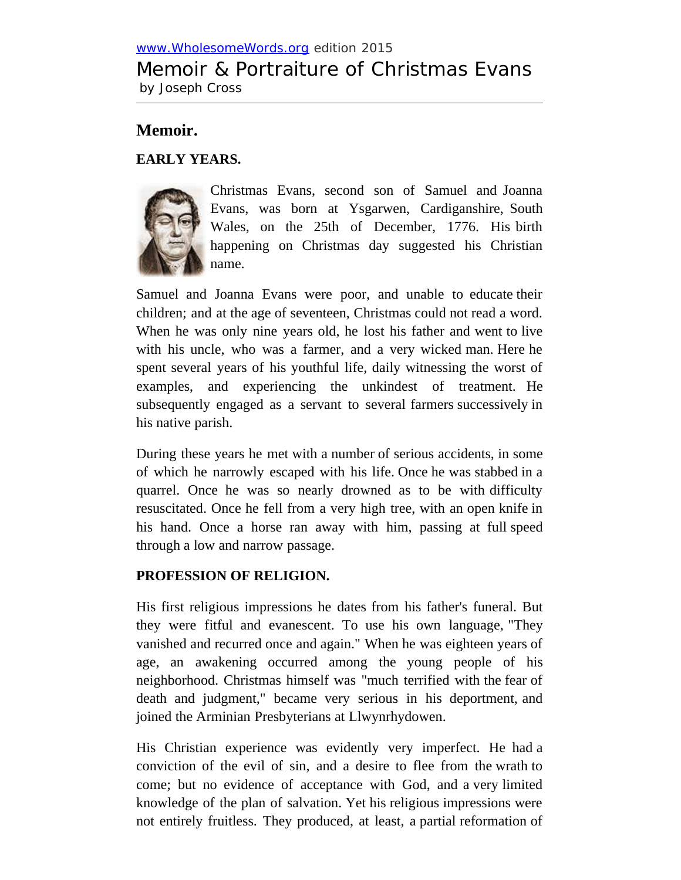# [www.WholesomeWords.org](http://www.wholesomewords.org/) edition 2015 Memoir & Portraiture of Christmas Evans by Joseph Cross

# **Memoir.**

# **EARLY YEARS.**



Christmas Evans, second son of Samuel and Joanna Evans, was born at Ysgarwen, Cardiganshire, South Wales, on the 25th of December, 1776. His birth happening on Christmas day suggested his Christian name.

Samuel and Joanna Evans were poor, and unable to educate their children; and at the age of seventeen, Christmas could not read a word. When he was only nine years old, he lost his father and went to live with his uncle, who was a farmer, and a very wicked man. Here he spent several years of his youthful life, daily witnessing the worst of examples, and experiencing the unkindest of treatment. He subsequently engaged as a servant to several farmers successively in his native parish.

During these years he met with a number of serious accidents, in some of which he narrowly escaped with his life. Once he was stabbed in a quarrel. Once he was so nearly drowned as to be with difficulty resuscitated. Once he fell from a very high tree, with an open knife in his hand. Once a horse ran away with him, passing at full speed through a low and narrow passage.

# **PROFESSION OF RELIGION.**

His first religious impressions he dates from his father's funeral. But they were fitful and evanescent. To use his own language, "They vanished and recurred once and again." When he was eighteen years of age, an awakening occurred among the young people of his neighborhood. Christmas himself was "much terrified with the fear of death and judgment," became very serious in his deportment, and joined the Arminian Presbyterians at Llwynrhydowen.

His Christian experience was evidently very imperfect. He had a conviction of the evil of sin, and a desire to flee from the wrath to come; but no evidence of acceptance with God, and a very limited knowledge of the plan of salvation. Yet his religious impressions were not entirely fruitless. They produced, at least, a partial reformation of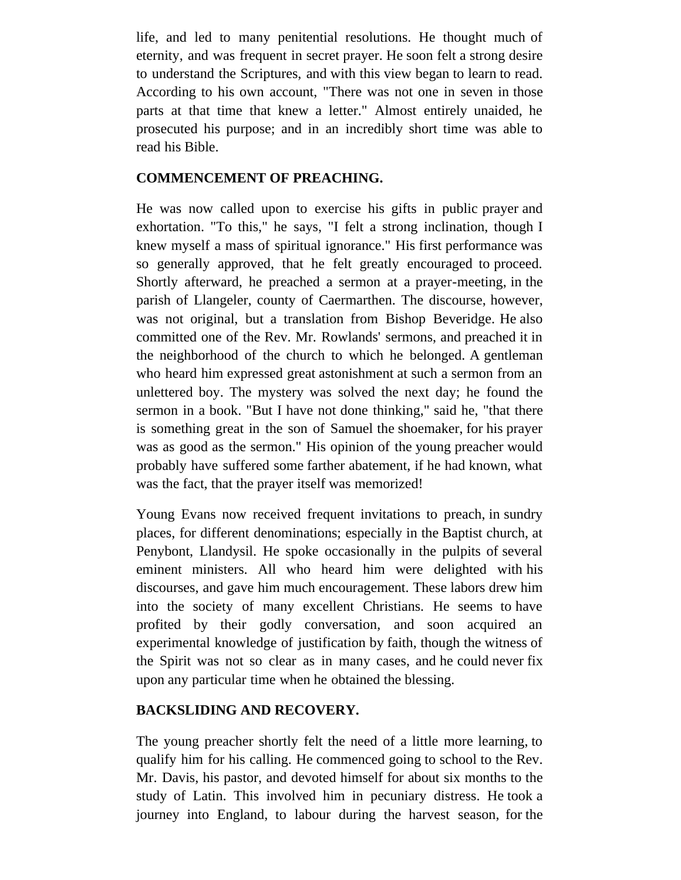life, and led to many penitential resolutions. He thought much of eternity, and was frequent in secret prayer. He soon felt a strong desire to understand the Scriptures, and with this view began to learn to read. According to his own account, "There was not one in seven in those parts at that time that knew a letter." Almost entirely unaided, he prosecuted his purpose; and in an incredibly short time was able to read his Bible.

### **COMMENCEMENT OF PREACHING.**

He was now called upon to exercise his gifts in public prayer and exhortation. "To this," he says, "I felt a strong inclination, though I knew myself a mass of spiritual ignorance." His first performance was so generally approved, that he felt greatly encouraged to proceed. Shortly afterward, he preached a sermon at a prayer-meeting, in the parish of Llangeler, county of Caermarthen. The discourse, however, was not original, but a translation from Bishop Beveridge. He also committed one of the Rev. Mr. Rowlands' sermons, and preached it in the neighborhood of the church to which he belonged. A gentleman who heard him expressed great astonishment at such a sermon from an unlettered boy. The mystery was solved the next day; he found the sermon in a book. "But I have not done thinking," said he, "that there is something great in the son of Samuel the shoemaker, for his prayer was as good as the sermon." His opinion of the young preacher would probably have suffered some farther abatement, if he had known, what was the fact, that the prayer itself was memorized!

Young Evans now received frequent invitations to preach, in sundry places, for different denominations; especially in the Baptist church, at Penybont, Llandysil. He spoke occasionally in the pulpits of several eminent ministers. All who heard him were delighted with his discourses, and gave him much encouragement. These labors drew him into the society of many excellent Christians. He seems to have profited by their godly conversation, and soon acquired an experimental knowledge of justification by faith, though the witness of the Spirit was not so clear as in many cases, and he could never fix upon any particular time when he obtained the blessing.

# **BACKSLIDING AND RECOVERY.**

The young preacher shortly felt the need of a little more learning, to qualify him for his calling. He commenced going to school to the Rev. Mr. Davis, his pastor, and devoted himself for about six months to the study of Latin. This involved him in pecuniary distress. He took a journey into England, to labour during the harvest season, for the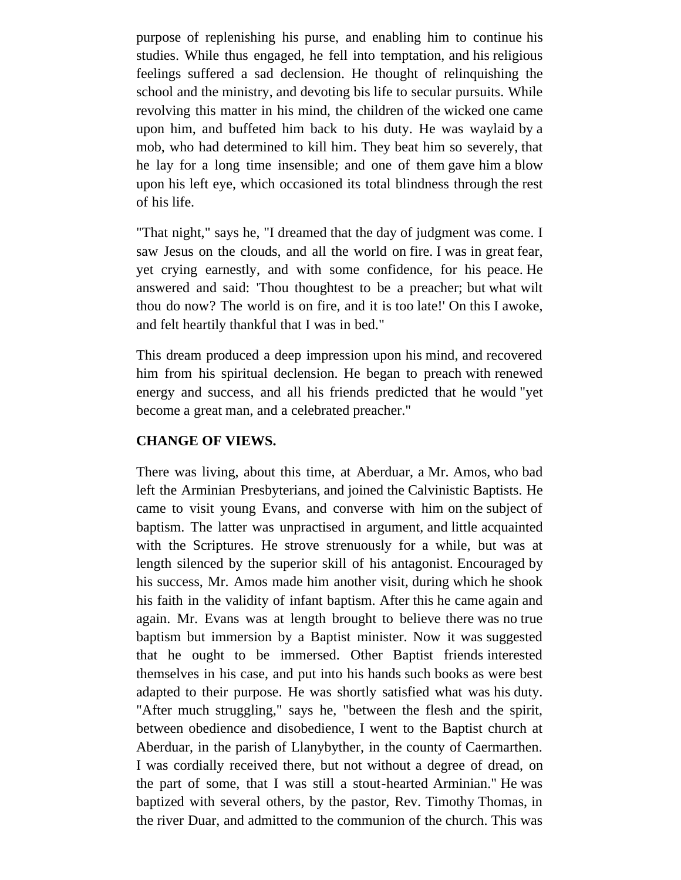purpose of replenishing his purse, and enabling him to continue his studies. While thus engaged, he fell into temptation, and his religious feelings suffered a sad declension. He thought of relinquishing the school and the ministry, and devoting bis life to secular pursuits. While revolving this matter in his mind, the children of the wicked one came upon him, and buffeted him back to his duty. He was waylaid by a mob, who had determined to kill him. They beat him so severely, that he lay for a long time insensible; and one of them gave him a blow upon his left eye, which occasioned its total blindness through the rest of his life.

"That night," says he, "I dreamed that the day of judgment was come. I saw Jesus on the clouds, and all the world on fire. I was in great fear, yet crying earnestly, and with some confidence, for his peace. He answered and said: 'Thou thoughtest to be a preacher; but what wilt thou do now? The world is on fire, and it is too late!' On this I awoke, and felt heartily thankful that I was in bed."

This dream produced a deep impression upon his mind, and recovered him from his spiritual declension. He began to preach with renewed energy and success, and all his friends predicted that he would "yet become a great man, and a celebrated preacher."

# **CHANGE OF VIEWS.**

There was living, about this time, at Aberduar, a Mr. Amos, who bad left the Arminian Presbyterians, and joined the Calvinistic Baptists. He came to visit young Evans, and converse with him on the subject of baptism. The latter was unpractised in argument, and little acquainted with the Scriptures. He strove strenuously for a while, but was at length silenced by the superior skill of his antagonist. Encouraged by his success, Mr. Amos made him another visit, during which he shook his faith in the validity of infant baptism. After this he came again and again. Mr. Evans was at length brought to believe there was no true baptism but immersion by a Baptist minister. Now it was suggested that he ought to be immersed. Other Baptist friends interested themselves in his case, and put into his hands such books as were best adapted to their purpose. He was shortly satisfied what was his duty. "After much struggling," says he, "between the flesh and the spirit, between obedience and disobedience, I went to the Baptist church at Aberduar, in the parish of Llanybyther, in the county of Caermarthen. I was cordially received there, but not without a degree of dread, on the part of some, that I was still a stout-hearted Arminian." He was baptized with several others, by the pastor, Rev. Timothy Thomas, in the river Duar, and admitted to the communion of the church. This was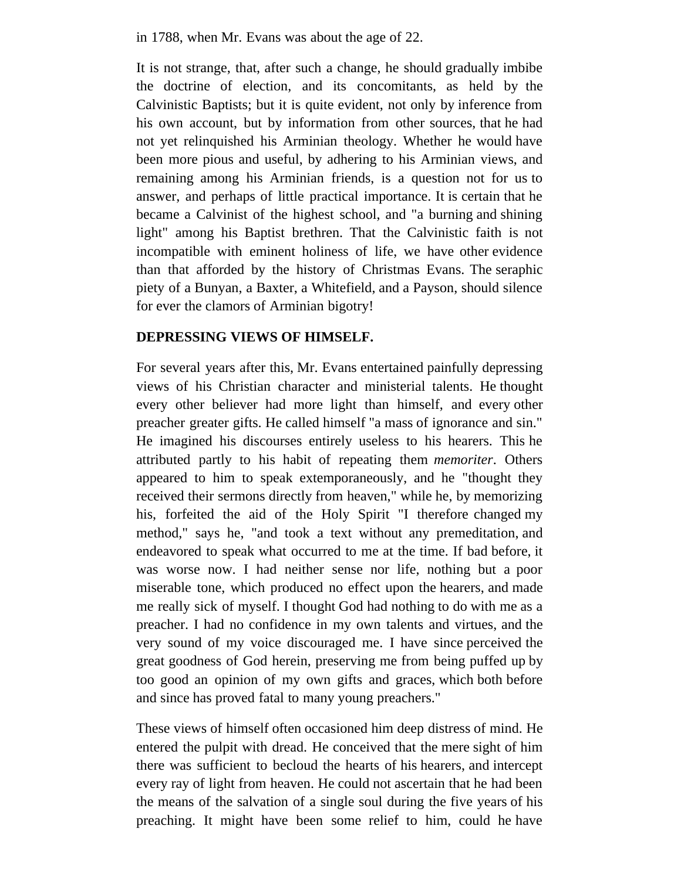in 1788, when Mr. Evans was about the age of 22.

It is not strange, that, after such a change, he should gradually imbibe the doctrine of election, and its concomitants, as held by the Calvinistic Baptists; but it is quite evident, not only by inference from his own account, but by information from other sources, that he had not yet relinquished his Arminian theology. Whether he would have been more pious and useful, by adhering to his Arminian views, and remaining among his Arminian friends, is a question not for us to answer, and perhaps of little practical importance. It is certain that he became a Calvinist of the highest school, and "a burning and shining light" among his Baptist brethren. That the Calvinistic faith is not incompatible with eminent holiness of life, we have other evidence than that afforded by the history of Christmas Evans. The seraphic piety of a Bunyan, a Baxter, a Whitefield, and a Payson, should silence for ever the clamors of Arminian bigotry!

### **DEPRESSING VIEWS OF HIMSELF.**

For several years after this, Mr. Evans entertained painfully depressing views of his Christian character and ministerial talents. He thought every other believer had more light than himself, and every other preacher greater gifts. He called himself "a mass of ignorance and sin." He imagined his discourses entirely useless to his hearers. This he attributed partly to his habit of repeating them *memoriter*. Others appeared to him to speak extemporaneously, and he "thought they received their sermons directly from heaven," while he, by memorizing his, forfeited the aid of the Holy Spirit "I therefore changed my method," says he, "and took a text without any premeditation, and endeavored to speak what occurred to me at the time. If bad before, it was worse now. I had neither sense nor life, nothing but a poor miserable tone, which produced no effect upon the hearers, and made me really sick of myself. I thought God had nothing to do with me as a preacher. I had no confidence in my own talents and virtues, and the very sound of my voice discouraged me. I have since perceived the great goodness of God herein, preserving me from being puffed up by too good an opinion of my own gifts and graces, which both before and since has proved fatal to many young preachers."

These views of himself often occasioned him deep distress of mind. He entered the pulpit with dread. He conceived that the mere sight of him there was sufficient to becloud the hearts of his hearers, and intercept every ray of light from heaven. He could not ascertain that he had been the means of the salvation of a single soul during the five years of his preaching. It might have been some relief to him, could he have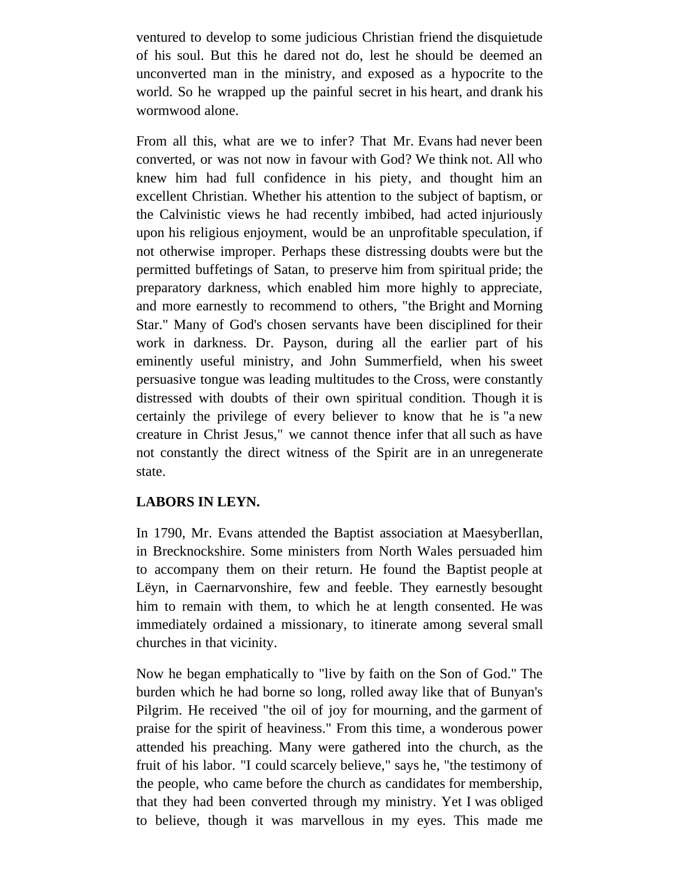ventured to develop to some judicious Christian friend the disquietude of his soul. But this he dared not do, lest he should be deemed an unconverted man in the ministry, and exposed as a hypocrite to the world. So he wrapped up the painful secret in his heart, and drank his wormwood alone.

From all this, what are we to infer? That Mr. Evans had never been converted, or was not now in favour with God? We think not. All who knew him had full confidence in his piety, and thought him an excellent Christian. Whether his attention to the subject of baptism, or the Calvinistic views he had recently imbibed, had acted injuriously upon his religious enjoyment, would be an unprofitable speculation, if not otherwise improper. Perhaps these distressing doubts were but the permitted buffetings of Satan, to preserve him from spiritual pride; the preparatory darkness, which enabled him more highly to appreciate, and more earnestly to recommend to others, "the Bright and Morning Star." Many of God's chosen servants have been disciplined for their work in darkness. Dr. Payson, during all the earlier part of his eminently useful ministry, and John Summerfield, when his sweet persuasive tongue was leading multitudes to the Cross, were constantly distressed with doubts of their own spiritual condition. Though it is certainly the privilege of every believer to know that he is "a new creature in Christ Jesus," we cannot thence infer that all such as have not constantly the direct witness of the Spirit are in an unregenerate state.

### **LABORS IN LEYN.**

In 1790, Mr. Evans attended the Baptist association at Maesyberllan, in Brecknockshire. Some ministers from North Wales persuaded him to accompany them on their return. He found the Baptist people at Lëyn, in Caernarvonshire, few and feeble. They earnestly besought him to remain with them, to which he at length consented. He was immediately ordained a missionary, to itinerate among several small churches in that vicinity.

Now he began emphatically to "live by faith on the Son of God." The burden which he had borne so long, rolled away like that of Bunyan's Pilgrim. He received "the oil of joy for mourning, and the garment of praise for the spirit of heaviness." From this time, a wonderous power attended his preaching. Many were gathered into the church, as the fruit of his labor. "I could scarcely believe," says he, "the testimony of the people, who came before the church as candidates for membership, that they had been converted through my ministry. Yet I was obliged to believe, though it was marvellous in my eyes. This made me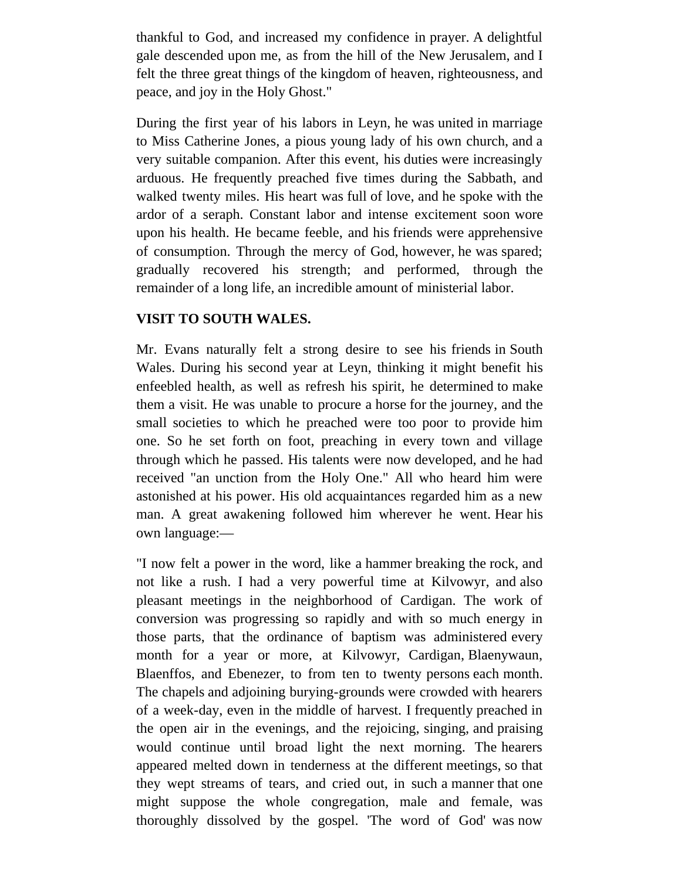thankful to God, and increased my confidence in prayer. A delightful gale descended upon me, as from the hill of the New Jerusalem, and I felt the three great things of the kingdom of heaven, righteousness, and peace, and joy in the Holy Ghost."

During the first year of his labors in Leyn, he was united in marriage to Miss Catherine Jones, a pious young lady of his own church, and a very suitable companion. After this event, his duties were increasingly arduous. He frequently preached five times during the Sabbath, and walked twenty miles. His heart was full of love, and he spoke with the ardor of a seraph. Constant labor and intense excitement soon wore upon his health. He became feeble, and his friends were apprehensive of consumption. Through the mercy of God, however, he was spared; gradually recovered his strength; and performed, through the remainder of a long life, an incredible amount of ministerial labor.

### **VISIT TO SOUTH WALES.**

Mr. Evans naturally felt a strong desire to see his friends in South Wales. During his second year at Leyn, thinking it might benefit his enfeebled health, as well as refresh his spirit, he determined to make them a visit. He was unable to procure a horse for the journey, and the small societies to which he preached were too poor to provide him one. So he set forth on foot, preaching in every town and village through which he passed. His talents were now developed, and he had received "an unction from the Holy One." All who heard him were astonished at his power. His old acquaintances regarded him as a new man. A great awakening followed him wherever he went. Hear his own language:—

"I now felt a power in the word, like a hammer breaking the rock, and not like a rush. I had a very powerful time at Kilvowyr, and also pleasant meetings in the neighborhood of Cardigan. The work of conversion was progressing so rapidly and with so much energy in those parts, that the ordinance of baptism was administered every month for a year or more, at Kilvowyr, Cardigan, Blaenywaun, Blaenffos, and Ebenezer, to from ten to twenty persons each month. The chapels and adjoining burying-grounds were crowded with hearers of a week-day, even in the middle of harvest. I frequently preached in the open air in the evenings, and the rejoicing, singing, and praising would continue until broad light the next morning. The hearers appeared melted down in tenderness at the different meetings, so that they wept streams of tears, and cried out, in such a manner that one might suppose the whole congregation, male and female, was thoroughly dissolved by the gospel. 'The word of God' was now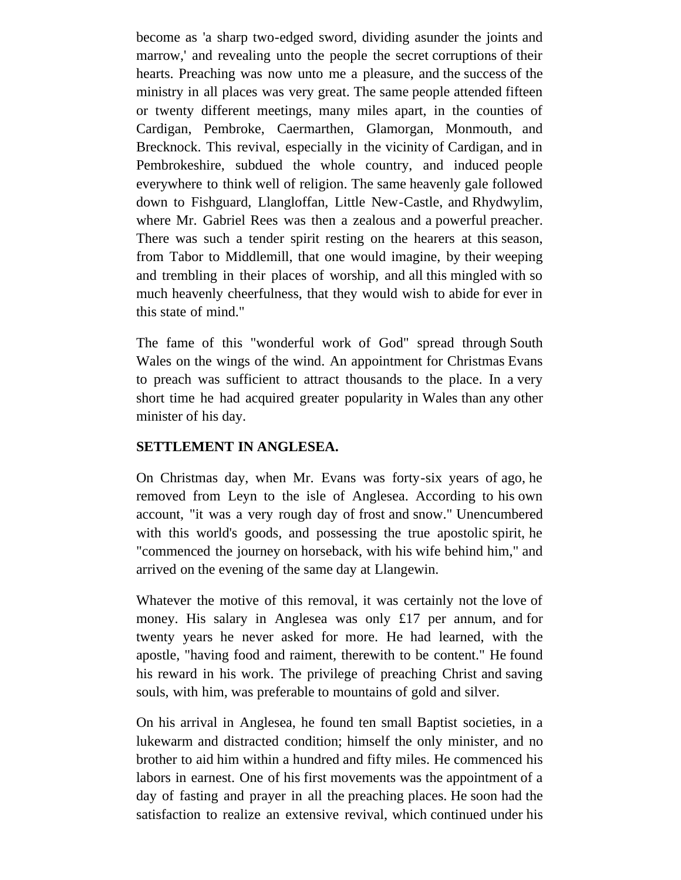become as 'a sharp two-edged sword, dividing asunder the joints and marrow,' and revealing unto the people the secret corruptions of their hearts. Preaching was now unto me a pleasure, and the success of the ministry in all places was very great. The same people attended fifteen or twenty different meetings, many miles apart, in the counties of Cardigan, Pembroke, Caermarthen, Glamorgan, Monmouth, and Brecknock. This revival, especially in the vicinity of Cardigan, and in Pembrokeshire, subdued the whole country, and induced people everywhere to think well of religion. The same heavenly gale followed down to Fishguard, Llangloffan, Little New-Castle, and Rhydwylim, where Mr. Gabriel Rees was then a zealous and a powerful preacher. There was such a tender spirit resting on the hearers at this season, from Tabor to Middlemill, that one would imagine, by their weeping and trembling in their places of worship, and all this mingled with so much heavenly cheerfulness, that they would wish to abide for ever in this state of mind."

The fame of this "wonderful work of God" spread through South Wales on the wings of the wind. An appointment for Christmas Evans to preach was sufficient to attract thousands to the place. In a very short time he had acquired greater popularity in Wales than any other minister of his day.

# **SETTLEMENT IN ANGLESEA.**

On Christmas day, when Mr. Evans was forty-six years of ago, he removed from Leyn to the isle of Anglesea. According to his own account, "it was a very rough day of frost and snow." Unencumbered with this world's goods, and possessing the true apostolic spirit, he "commenced the journey on horseback, with his wife behind him," and arrived on the evening of the same day at Llangewin.

Whatever the motive of this removal, it was certainly not the love of money. His salary in Anglesea was only £17 per annum, and for twenty years he never asked for more. He had learned, with the apostle, "having food and raiment, therewith to be content." He found his reward in his work. The privilege of preaching Christ and saving souls, with him, was preferable to mountains of gold and silver.

On his arrival in Anglesea, he found ten small Baptist societies, in a lukewarm and distracted condition; himself the only minister, and no brother to aid him within a hundred and fifty miles. He commenced his labors in earnest. One of his first movements was the appointment of a day of fasting and prayer in all the preaching places. He soon had the satisfaction to realize an extensive revival, which continued under his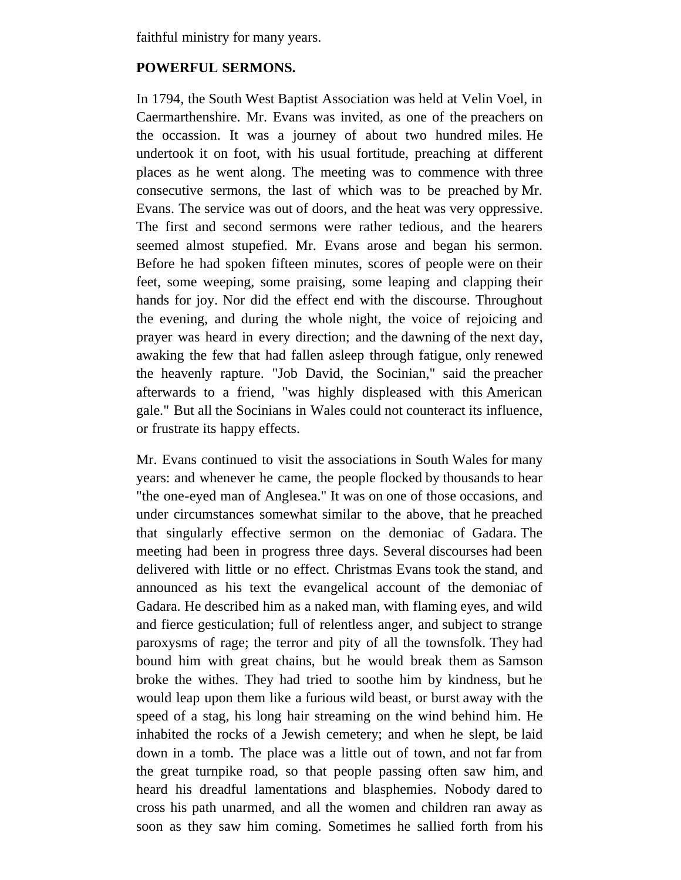faithful ministry for many years.

# **POWERFUL SERMONS.**

In 1794, the South West Baptist Association was held at Velin Voel, in Caermarthenshire. Mr. Evans was invited, as one of the preachers on the occassion. It was a journey of about two hundred miles. He undertook it on foot, with his usual fortitude, preaching at different places as he went along. The meeting was to commence with three consecutive sermons, the last of which was to be preached by Mr. Evans. The service was out of doors, and the heat was very oppressive. The first and second sermons were rather tedious, and the hearers seemed almost stupefied. Mr. Evans arose and began his sermon. Before he had spoken fifteen minutes, scores of people were on their feet, some weeping, some praising, some leaping and clapping their hands for joy. Nor did the effect end with the discourse. Throughout the evening, and during the whole night, the voice of rejoicing and prayer was heard in every direction; and the dawning of the next day, awaking the few that had fallen asleep through fatigue, only renewed the heavenly rapture. "Job David, the Socinian," said the preacher afterwards to a friend, "was highly displeased with this American gale." But all the Socinians in Wales could not counteract its influence, or frustrate its happy effects.

Mr. Evans continued to visit the associations in South Wales for many years: and whenever he came, the people flocked by thousands to hear "the one-eyed man of Anglesea." It was on one of those occasions, and under circumstances somewhat similar to the above, that he preached that singularly effective sermon on the demoniac of Gadara. The meeting had been in progress three days. Several discourses had been delivered with little or no effect. Christmas Evans took the stand, and announced as his text the evangelical account of the demoniac of Gadara. He described him as a naked man, with flaming eyes, and wild and fierce gesticulation; full of relentless anger, and subject to strange paroxysms of rage; the terror and pity of all the townsfolk. They had bound him with great chains, but he would break them as Samson broke the withes. They had tried to soothe him by kindness, but he would leap upon them like a furious wild beast, or burst away with the speed of a stag, his long hair streaming on the wind behind him. He inhabited the rocks of a Jewish cemetery; and when he slept, be laid down in a tomb. The place was a little out of town, and not far from the great turnpike road, so that people passing often saw him, and heard his dreadful lamentations and blasphemies. Nobody dared to cross his path unarmed, and all the women and children ran away as soon as they saw him coming. Sometimes he sallied forth from his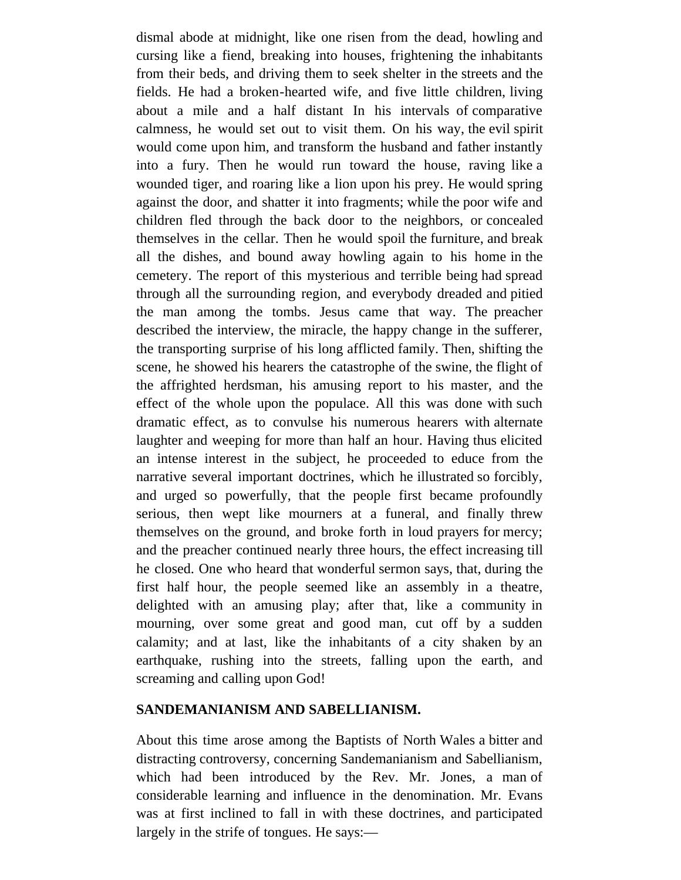dismal abode at midnight, like one risen from the dead, howling and cursing like a fiend, breaking into houses, frightening the inhabitants from their beds, and driving them to seek shelter in the streets and the fields. He had a broken-hearted wife, and five little children, living about a mile and a half distant In his intervals of comparative calmness, he would set out to visit them. On his way, the evil spirit would come upon him, and transform the husband and father instantly into a fury. Then he would run toward the house, raving like a wounded tiger, and roaring like a lion upon his prey. He would spring against the door, and shatter it into fragments; while the poor wife and children fled through the back door to the neighbors, or concealed themselves in the cellar. Then he would spoil the furniture, and break all the dishes, and bound away howling again to his home in the cemetery. The report of this mysterious and terrible being had spread through all the surrounding region, and everybody dreaded and pitied the man among the tombs. Jesus came that way. The preacher described the interview, the miracle, the happy change in the sufferer, the transporting surprise of his long afflicted family. Then, shifting the scene, he showed his hearers the catastrophe of the swine, the flight of the affrighted herdsman, his amusing report to his master, and the effect of the whole upon the populace. All this was done with such dramatic effect, as to convulse his numerous hearers with alternate laughter and weeping for more than half an hour. Having thus elicited an intense interest in the subject, he proceeded to educe from the narrative several important doctrines, which he illustrated so forcibly, and urged so powerfully, that the people first became profoundly serious, then wept like mourners at a funeral, and finally threw themselves on the ground, and broke forth in loud prayers for mercy; and the preacher continued nearly three hours, the effect increasing till he closed. One who heard that wonderful sermon says, that, during the first half hour, the people seemed like an assembly in a theatre, delighted with an amusing play; after that, like a community in mourning, over some great and good man, cut off by a sudden calamity; and at last, like the inhabitants of a city shaken by an earthquake, rushing into the streets, falling upon the earth, and screaming and calling upon God!

### **SANDEMANIANISM AND SABELLIANISM.**

About this time arose among the Baptists of North Wales a bitter and distracting controversy, concerning Sandemanianism and Sabellianism, which had been introduced by the Rev. Mr. Jones, a man of considerable learning and influence in the denomination. Mr. Evans was at first inclined to fall in with these doctrines, and participated largely in the strife of tongues. He says:—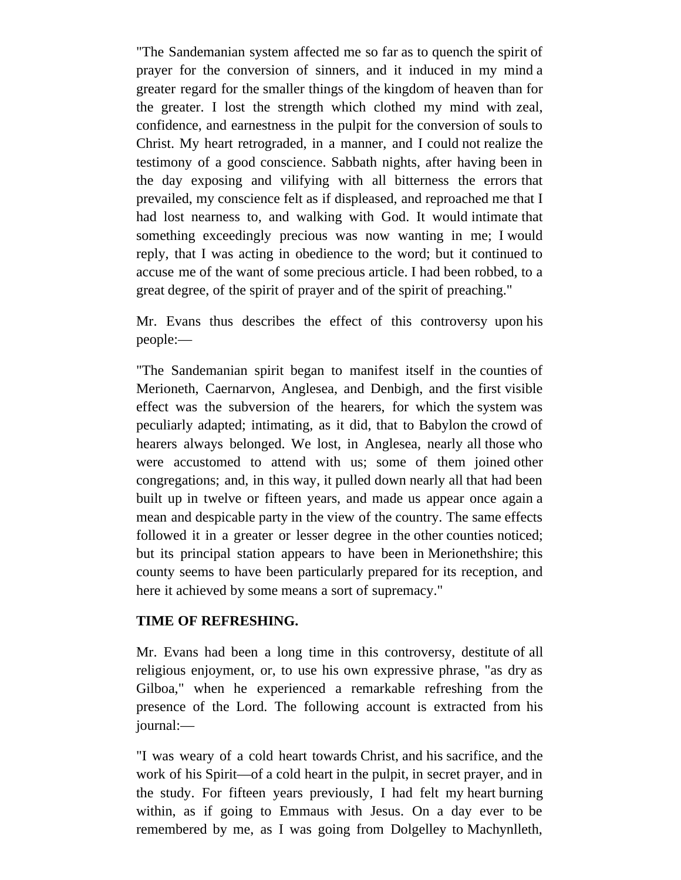"The Sandemanian system affected me so far as to quench the spirit of prayer for the conversion of sinners, and it induced in my mind a greater regard for the smaller things of the kingdom of heaven than for the greater. I lost the strength which clothed my mind with zeal, confidence, and earnestness in the pulpit for the conversion of souls to Christ. My heart retrograded, in a manner, and I could not realize the testimony of a good conscience. Sabbath nights, after having been in the day exposing and vilifying with all bitterness the errors that prevailed, my conscience felt as if displeased, and reproached me that I had lost nearness to, and walking with God. It would intimate that something exceedingly precious was now wanting in me; I would reply, that I was acting in obedience to the word; but it continued to accuse me of the want of some precious article. I had been robbed, to a great degree, of the spirit of prayer and of the spirit of preaching."

Mr. Evans thus describes the effect of this controversy upon his people:—

"The Sandemanian spirit began to manifest itself in the counties of Merioneth, Caernarvon, Anglesea, and Denbigh, and the first visible effect was the subversion of the hearers, for which the system was peculiarly adapted; intimating, as it did, that to Babylon the crowd of hearers always belonged. We lost, in Anglesea, nearly all those who were accustomed to attend with us; some of them joined other congregations; and, in this way, it pulled down nearly all that had been built up in twelve or fifteen years, and made us appear once again a mean and despicable party in the view of the country. The same effects followed it in a greater or lesser degree in the other counties noticed; but its principal station appears to have been in Merionethshire; this county seems to have been particularly prepared for its reception, and here it achieved by some means a sort of supremacy."

### **TIME OF REFRESHING.**

Mr. Evans had been a long time in this controversy, destitute of all religious enjoyment, or, to use his own expressive phrase, "as dry as Gilboa," when he experienced a remarkable refreshing from the presence of the Lord. The following account is extracted from his journal:—

"I was weary of a cold heart towards Christ, and his sacrifice, and the work of his Spirit—of a cold heart in the pulpit, in secret prayer, and in the study. For fifteen years previously, I had felt my heart burning within, as if going to Emmaus with Jesus. On a day ever to be remembered by me, as I was going from Dolgelley to Machynlleth,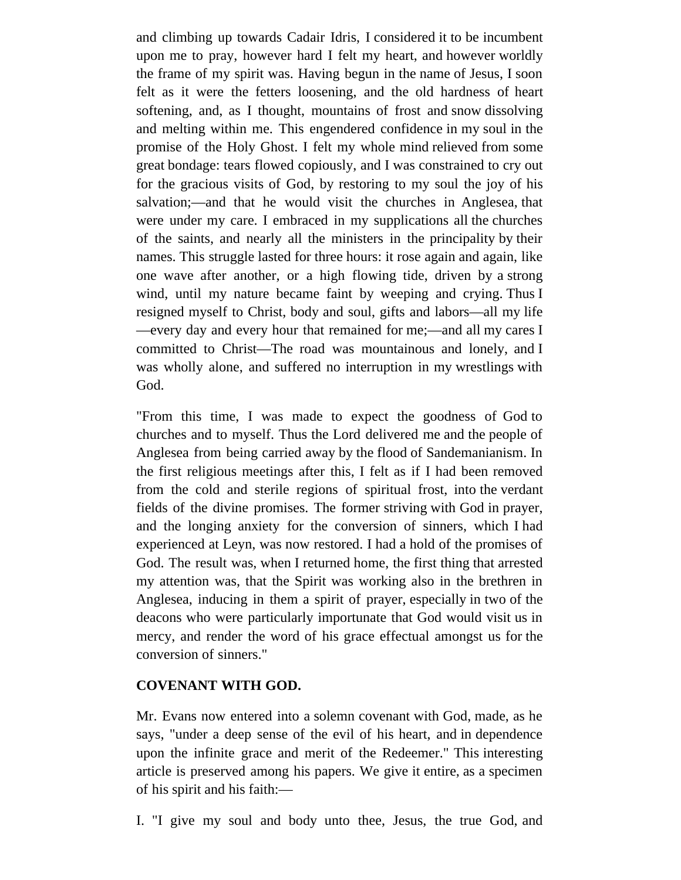and climbing up towards Cadair Idris, I considered it to be incumbent upon me to pray, however hard I felt my heart, and however worldly the frame of my spirit was. Having begun in the name of Jesus, I soon felt as it were the fetters loosening, and the old hardness of heart softening, and, as I thought, mountains of frost and snow dissolving and melting within me. This engendered confidence in my soul in the promise of the Holy Ghost. I felt my whole mind relieved from some great bondage: tears flowed copiously, and I was constrained to cry out for the gracious visits of God, by restoring to my soul the joy of his salvation;—and that he would visit the churches in Anglesea, that were under my care. I embraced in my supplications all the churches of the saints, and nearly all the ministers in the principality by their names. This struggle lasted for three hours: it rose again and again, like one wave after another, or a high flowing tide, driven by a strong wind, until my nature became faint by weeping and crying. Thus I resigned myself to Christ, body and soul, gifts and labors—all my life —every day and every hour that remained for me;—and all my cares I committed to Christ—The road was mountainous and lonely, and I was wholly alone, and suffered no interruption in my wrestlings with God.

"From this time, I was made to expect the goodness of God to churches and to myself. Thus the Lord delivered me and the people of Anglesea from being carried away by the flood of Sandemanianism. In the first religious meetings after this, I felt as if I had been removed from the cold and sterile regions of spiritual frost, into the verdant fields of the divine promises. The former striving with God in prayer, and the longing anxiety for the conversion of sinners, which I had experienced at Leyn, was now restored. I had a hold of the promises of God. The result was, when I returned home, the first thing that arrested my attention was, that the Spirit was working also in the brethren in Anglesea, inducing in them a spirit of prayer, especially in two of the deacons who were particularly importunate that God would visit us in mercy, and render the word of his grace effectual amongst us for the conversion of sinners."

# **COVENANT WITH GOD.**

Mr. Evans now entered into a solemn covenant with God, made, as he says, "under a deep sense of the evil of his heart, and in dependence upon the infinite grace and merit of the Redeemer." This interesting article is preserved among his papers. We give it entire, as a specimen of his spirit and his faith:—

I. "I give my soul and body unto thee, Jesus, the true God, and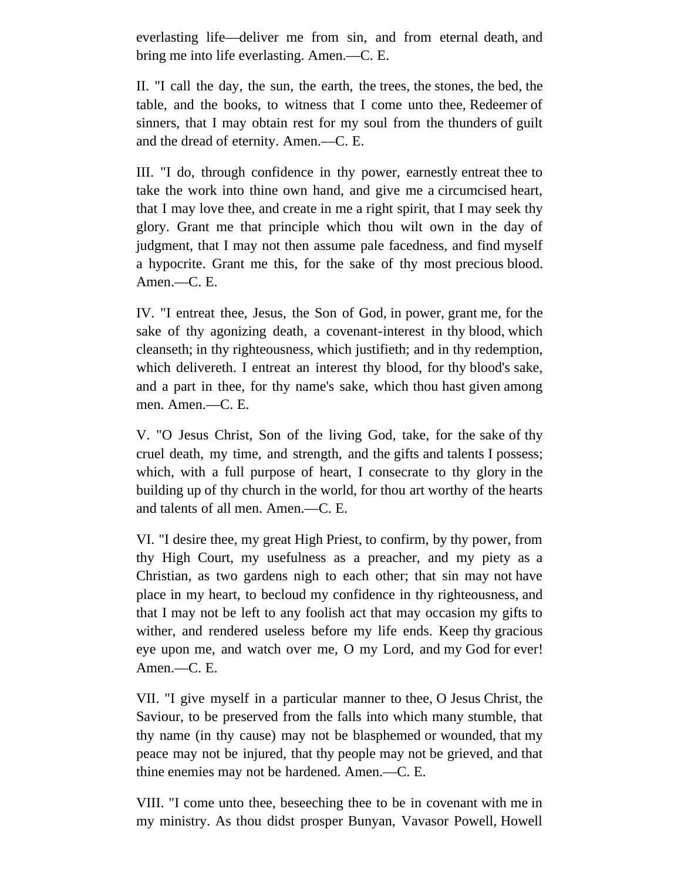everlasting life—deliver me from sin, and from eternal death, and bring me into life everlasting. Amen.—C. E.

II. "I call the day, the sun, the earth, the trees, the stones, the bed, the table, and the books, to witness that I come unto thee, Redeemer of sinners, that I may obtain rest for my soul from the thunders of guilt and the dread of eternity. Amen.—C. E.

III. "I do, through confidence in thy power, earnestly entreat thee to take the work into thine own hand, and give me a circumcised heart, that I may love thee, and create in me a right spirit, that I may seek thy glory. Grant me that principle which thou wilt own in the day of judgment, that I may not then assume pale facedness, and find myself a hypocrite. Grant me this, for the sake of thy most precious blood. Amen.—C. E.

IV. "I entreat thee, Jesus, the Son of God, in power, grant me, for the sake of thy agonizing death, a covenant-interest in thy blood, which cleanseth; in thy righteousness, which justifieth; and in thy redemption, which delivereth. I entreat an interest thy blood, for thy blood's sake, and a part in thee, for thy name's sake, which thou hast given among men. Amen.—C. E.

V. "O Jesus Christ, Son of the living God, take, for the sake of thy cruel death, my time, and strength, and the gifts and talents I possess; which, with a full purpose of heart, I consecrate to thy glory in the building up of thy church in the world, for thou art worthy of the hearts and talents of all men. Amen.—C. E.

VI. "I desire thee, my great High Priest, to confirm, by thy power, from thy High Court, my usefulness as a preacher, and my piety as a Christian, as two gardens nigh to each other; that sin may not have place in my heart, to becloud my confidence in thy righteousness, and that I may not be left to any foolish act that may occasion my gifts to wither, and rendered useless before my life ends. Keep thy gracious eye upon me, and watch over me, O my Lord, and my God for ever! Amen.—C. E.

VII. "I give myself in a particular manner to thee, O Jesus Christ, the Saviour, to be preserved from the falls into which many stumble, that thy name (in thy cause) may not be blasphemed or wounded, that my peace may not be injured, that thy people may not be grieved, and that thine enemies may not be hardened. Amen.—C. E.

VIII. "I come unto thee, beseeching thee to be in covenant with me in my ministry. As thou didst prosper Bunyan, Vavasor Powell, Howell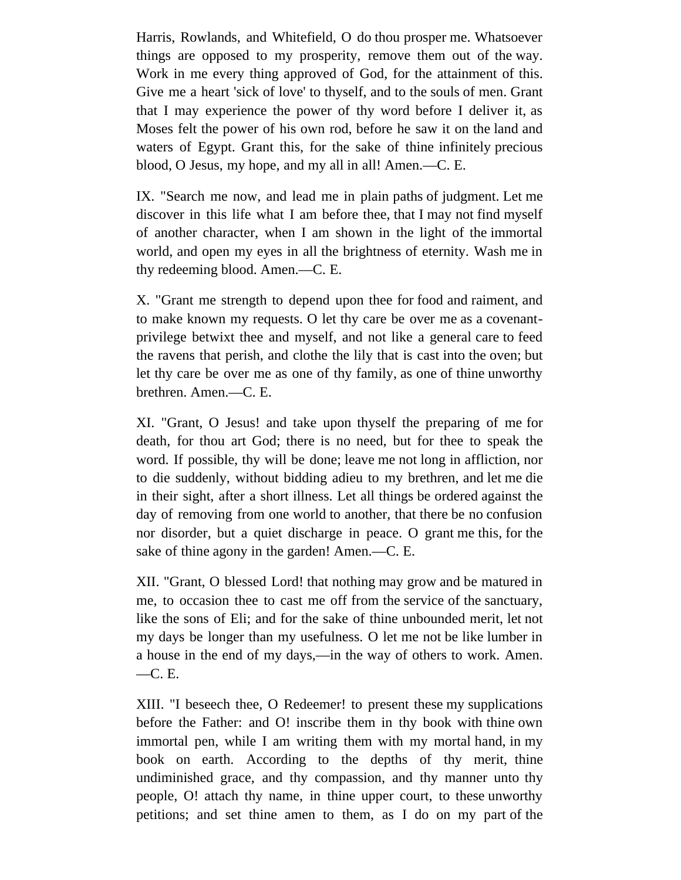Harris, Rowlands, and Whitefield, O do thou prosper me. Whatsoever things are opposed to my prosperity, remove them out of the way. Work in me every thing approved of God, for the attainment of this. Give me a heart 'sick of love' to thyself, and to the souls of men. Grant that I may experience the power of thy word before I deliver it, as Moses felt the power of his own rod, before he saw it on the land and waters of Egypt. Grant this, for the sake of thine infinitely precious blood, O Jesus, my hope, and my all in all! Amen.—C. E.

IX. "Search me now, and lead me in plain paths of judgment. Let me discover in this life what I am before thee, that I may not find myself of another character, when I am shown in the light of the immortal world, and open my eyes in all the brightness of eternity. Wash me in thy redeeming blood. Amen.—C. E.

X. "Grant me strength to depend upon thee for food and raiment, and to make known my requests. O let thy care be over me as a covenantprivilege betwixt thee and myself, and not like a general care to feed the ravens that perish, and clothe the lily that is cast into the oven; but let thy care be over me as one of thy family, as one of thine unworthy brethren. Amen.—C. E.

XI. "Grant, O Jesus! and take upon thyself the preparing of me for death, for thou art God; there is no need, but for thee to speak the word. If possible, thy will be done; leave me not long in affliction, nor to die suddenly, without bidding adieu to my brethren, and let me die in their sight, after a short illness. Let all things be ordered against the day of removing from one world to another, that there be no confusion nor disorder, but a quiet discharge in peace. O grant me this, for the sake of thine agony in the garden! Amen.—C. E.

XII. "Grant, O blessed Lord! that nothing may grow and be matured in me, to occasion thee to cast me off from the service of the sanctuary, like the sons of Eli; and for the sake of thine unbounded merit, let not my days be longer than my usefulness. O let me not be like lumber in a house in the end of my days,—in the way of others to work. Amen. —C. E.

XIII. "I beseech thee, O Redeemer! to present these my supplications before the Father: and O! inscribe them in thy book with thine own immortal pen, while I am writing them with my mortal hand, in my book on earth. According to the depths of thy merit, thine undiminished grace, and thy compassion, and thy manner unto thy people, O! attach thy name, in thine upper court, to these unworthy petitions; and set thine amen to them, as I do on my part of the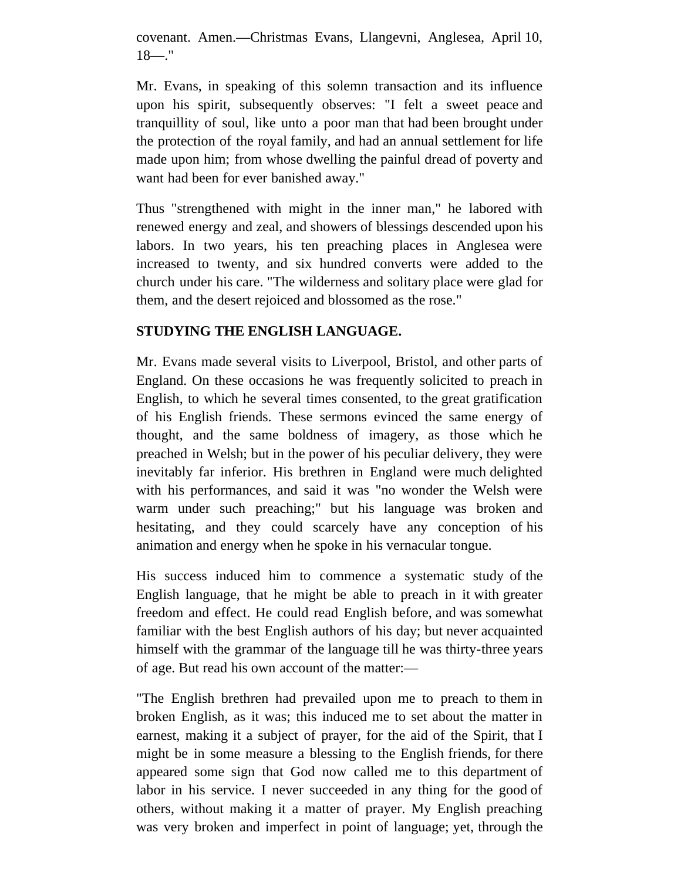covenant. Amen.—Christmas Evans, Llangevni, Anglesea, April 10,  $18 -$ ."

Mr. Evans, in speaking of this solemn transaction and its influence upon his spirit, subsequently observes: "I felt a sweet peace and tranquillity of soul, like unto a poor man that had been brought under the protection of the royal family, and had an annual settlement for life made upon him; from whose dwelling the painful dread of poverty and want had been for ever banished away."

Thus "strengthened with might in the inner man," he labored with renewed energy and zeal, and showers of blessings descended upon his labors. In two years, his ten preaching places in Anglesea were increased to twenty, and six hundred converts were added to the church under his care. "The wilderness and solitary place were glad for them, and the desert rejoiced and blossomed as the rose."

# **STUDYING THE ENGLISH LANGUAGE.**

Mr. Evans made several visits to Liverpool, Bristol, and other parts of England. On these occasions he was frequently solicited to preach in English, to which he several times consented, to the great gratification of his English friends. These sermons evinced the same energy of thought, and the same boldness of imagery, as those which he preached in Welsh; but in the power of his peculiar delivery, they were inevitably far inferior. His brethren in England were much delighted with his performances, and said it was "no wonder the Welsh were warm under such preaching;" but his language was broken and hesitating, and they could scarcely have any conception of his animation and energy when he spoke in his vernacular tongue.

His success induced him to commence a systematic study of the English language, that he might be able to preach in it with greater freedom and effect. He could read English before, and was somewhat familiar with the best English authors of his day; but never acquainted himself with the grammar of the language till he was thirty-three years of age. But read his own account of the matter:—

"The English brethren had prevailed upon me to preach to them in broken English, as it was; this induced me to set about the matter in earnest, making it a subject of prayer, for the aid of the Spirit, that I might be in some measure a blessing to the English friends, for there appeared some sign that God now called me to this department of labor in his service. I never succeeded in any thing for the good of others, without making it a matter of prayer. My English preaching was very broken and imperfect in point of language; yet, through the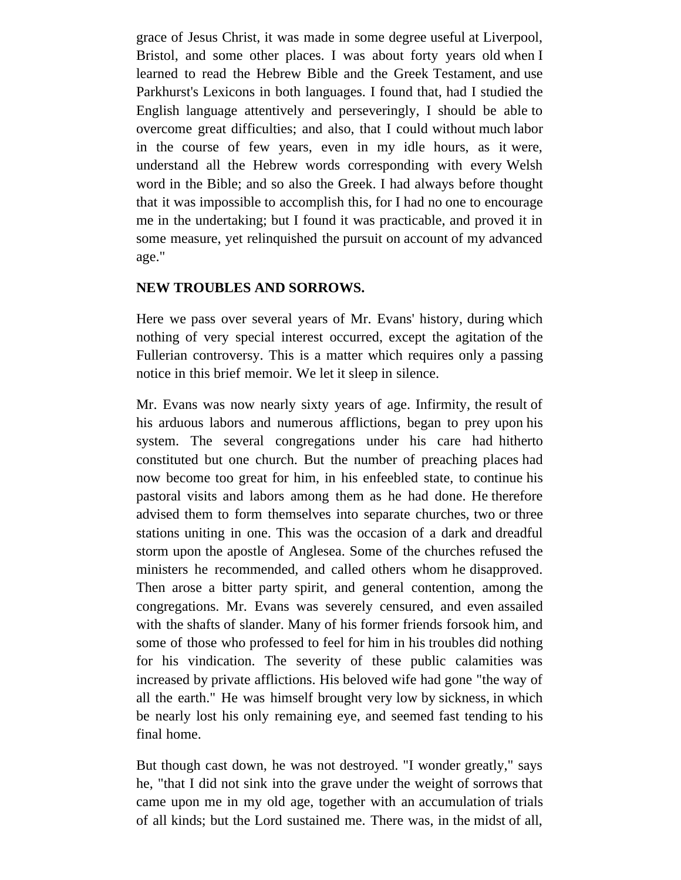grace of Jesus Christ, it was made in some degree useful at Liverpool, Bristol, and some other places. I was about forty years old when I learned to read the Hebrew Bible and the Greek Testament, and use Parkhurst's Lexicons in both languages. I found that, had I studied the English language attentively and perseveringly, I should be able to overcome great difficulties; and also, that I could without much labor in the course of few years, even in my idle hours, as it were, understand all the Hebrew words corresponding with every Welsh word in the Bible; and so also the Greek. I had always before thought that it was impossible to accomplish this, for I had no one to encourage me in the undertaking; but I found it was practicable, and proved it in some measure, yet relinquished the pursuit on account of my advanced age."

### **NEW TROUBLES AND SORROWS.**

Here we pass over several years of Mr. Evans' history, during which nothing of very special interest occurred, except the agitation of the Fullerian controversy. This is a matter which requires only a passing notice in this brief memoir. We let it sleep in silence.

Mr. Evans was now nearly sixty years of age. Infirmity, the result of his arduous labors and numerous afflictions, began to prey upon his system. The several congregations under his care had hitherto constituted but one church. But the number of preaching places had now become too great for him, in his enfeebled state, to continue his pastoral visits and labors among them as he had done. He therefore advised them to form themselves into separate churches, two or three stations uniting in one. This was the occasion of a dark and dreadful storm upon the apostle of Anglesea. Some of the churches refused the ministers he recommended, and called others whom he disapproved. Then arose a bitter party spirit, and general contention, among the congregations. Mr. Evans was severely censured, and even assailed with the shafts of slander. Many of his former friends forsook him, and some of those who professed to feel for him in his troubles did nothing for his vindication. The severity of these public calamities was increased by private afflictions. His beloved wife had gone "the way of all the earth." He was himself brought very low by sickness, in which be nearly lost his only remaining eye, and seemed fast tending to his final home.

But though cast down, he was not destroyed. "I wonder greatly," says he, "that I did not sink into the grave under the weight of sorrows that came upon me in my old age, together with an accumulation of trials of all kinds; but the Lord sustained me. There was, in the midst of all,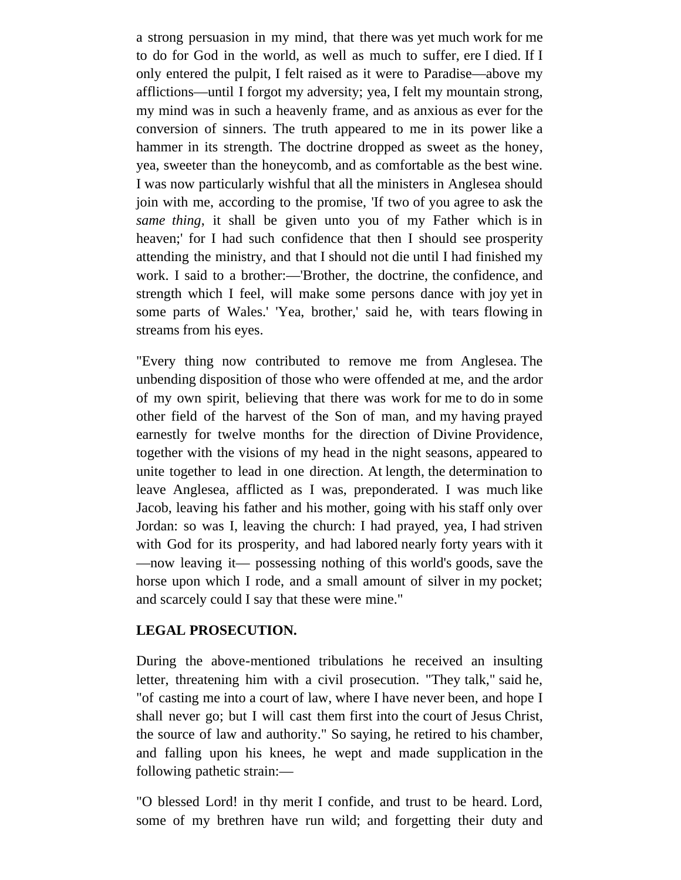a strong persuasion in my mind, that there was yet much work for me to do for God in the world, as well as much to suffer, ere I died. If I only entered the pulpit, I felt raised as it were to Paradise—above my afflictions—until I forgot my adversity; yea, I felt my mountain strong, my mind was in such a heavenly frame, and as anxious as ever for the conversion of sinners. The truth appeared to me in its power like a hammer in its strength. The doctrine dropped as sweet as the honey, yea, sweeter than the honeycomb, and as comfortable as the best wine. I was now particularly wishful that all the ministers in Anglesea should join with me, according to the promise, 'If two of you agree to ask the *same thing*, it shall be given unto you of my Father which is in heaven;' for I had such confidence that then I should see prosperity attending the ministry, and that I should not die until I had finished my work. I said to a brother:—'Brother, the doctrine, the confidence, and strength which I feel, will make some persons dance with joy yet in some parts of Wales.' 'Yea, brother,' said he, with tears flowing in streams from his eyes.

"Every thing now contributed to remove me from Anglesea. The unbending disposition of those who were offended at me, and the ardor of my own spirit, believing that there was work for me to do in some other field of the harvest of the Son of man, and my having prayed earnestly for twelve months for the direction of Divine Providence, together with the visions of my head in the night seasons, appeared to unite together to lead in one direction. At length, the determination to leave Anglesea, afflicted as I was, preponderated. I was much like Jacob, leaving his father and his mother, going with his staff only over Jordan: so was I, leaving the church: I had prayed, yea, I had striven with God for its prosperity, and had labored nearly forty years with it —now leaving it— possessing nothing of this world's goods, save the horse upon which I rode, and a small amount of silver in my pocket; and scarcely could I say that these were mine."

### **LEGAL PROSECUTION.**

During the above-mentioned tribulations he received an insulting letter, threatening him with a civil prosecution. "They talk," said he, "of casting me into a court of law, where I have never been, and hope I shall never go; but I will cast them first into the court of Jesus Christ, the source of law and authority." So saying, he retired to his chamber, and falling upon his knees, he wept and made supplication in the following pathetic strain:—

"O blessed Lord! in thy merit I confide, and trust to be heard. Lord, some of my brethren have run wild; and forgetting their duty and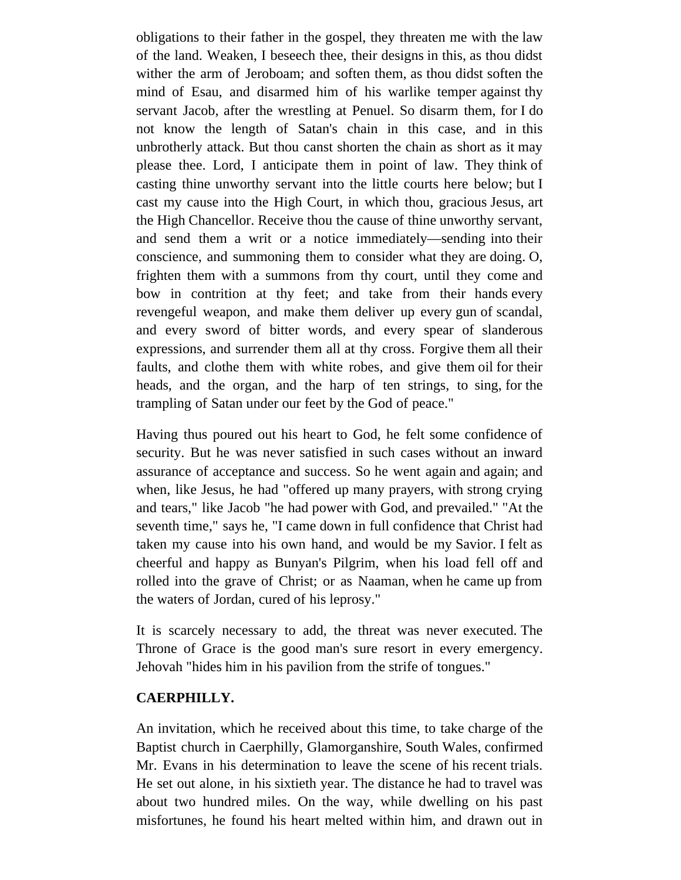obligations to their father in the gospel, they threaten me with the law of the land. Weaken, I beseech thee, their designs in this, as thou didst wither the arm of Jeroboam; and soften them, as thou didst soften the mind of Esau, and disarmed him of his warlike temper against thy servant Jacob, after the wrestling at Penuel. So disarm them, for I do not know the length of Satan's chain in this case, and in this unbrotherly attack. But thou canst shorten the chain as short as it may please thee. Lord, I anticipate them in point of law. They think of casting thine unworthy servant into the little courts here below; but I cast my cause into the High Court, in which thou, gracious Jesus, art the High Chancellor. Receive thou the cause of thine unworthy servant, and send them a writ or a notice immediately—sending into their conscience, and summoning them to consider what they are doing. O, frighten them with a summons from thy court, until they come and bow in contrition at thy feet; and take from their hands every revengeful weapon, and make them deliver up every gun of scandal, and every sword of bitter words, and every spear of slanderous expressions, and surrender them all at thy cross. Forgive them all their faults, and clothe them with white robes, and give them oil for their heads, and the organ, and the harp of ten strings, to sing, for the trampling of Satan under our feet by the God of peace."

Having thus poured out his heart to God, he felt some confidence of security. But he was never satisfied in such cases without an inward assurance of acceptance and success. So he went again and again; and when, like Jesus, he had "offered up many prayers, with strong crying and tears," like Jacob "he had power with God, and prevailed." "At the seventh time," says he, "I came down in full confidence that Christ had taken my cause into his own hand, and would be my Savior. I felt as cheerful and happy as Bunyan's Pilgrim, when his load fell off and rolled into the grave of Christ; or as Naaman, when he came up from the waters of Jordan, cured of his leprosy."

It is scarcely necessary to add, the threat was never executed. The Throne of Grace is the good man's sure resort in every emergency. Jehovah "hides him in his pavilion from the strife of tongues."

#### **CAERPHILLY.**

An invitation, which he received about this time, to take charge of the Baptist church in Caerphilly, Glamorganshire, South Wales, confirmed Mr. Evans in his determination to leave the scene of his recent trials. He set out alone, in his sixtieth year. The distance he had to travel was about two hundred miles. On the way, while dwelling on his past misfortunes, he found his heart melted within him, and drawn out in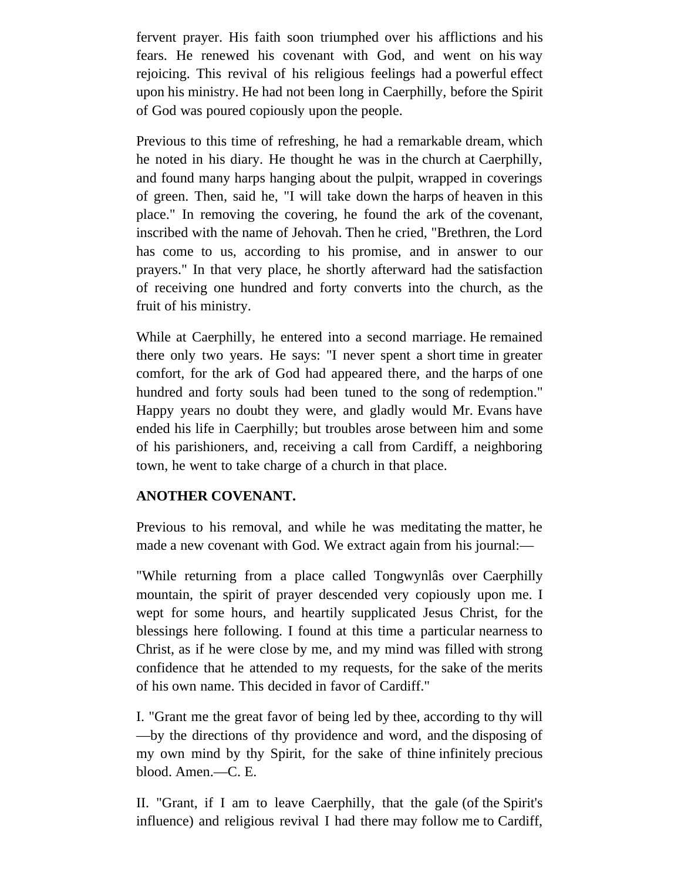fervent prayer. His faith soon triumphed over his afflictions and his fears. He renewed his covenant with God, and went on his way rejoicing. This revival of his religious feelings had a powerful effect upon his ministry. He had not been long in Caerphilly, before the Spirit of God was poured copiously upon the people.

Previous to this time of refreshing, he had a remarkable dream, which he noted in his diary. He thought he was in the church at Caerphilly, and found many harps hanging about the pulpit, wrapped in coverings of green. Then, said he, "I will take down the harps of heaven in this place." In removing the covering, he found the ark of the covenant, inscribed with the name of Jehovah. Then he cried, "Brethren, the Lord has come to us, according to his promise, and in answer to our prayers." In that very place, he shortly afterward had the satisfaction of receiving one hundred and forty converts into the church, as the fruit of his ministry.

While at Caerphilly, he entered into a second marriage. He remained there only two years. He says: "I never spent a short time in greater comfort, for the ark of God had appeared there, and the harps of one hundred and forty souls had been tuned to the song of redemption." Happy years no doubt they were, and gladly would Mr. Evans have ended his life in Caerphilly; but troubles arose between him and some of his parishioners, and, receiving a call from Cardiff, a neighboring town, he went to take charge of a church in that place.

# **ANOTHER COVENANT.**

Previous to his removal, and while he was meditating the matter, he made a new covenant with God. We extract again from his journal:—

"While returning from a place called Tongwynlâs over Caerphilly mountain, the spirit of prayer descended very copiously upon me. I wept for some hours, and heartily supplicated Jesus Christ, for the blessings here following. I found at this time a particular nearness to Christ, as if he were close by me, and my mind was filled with strong confidence that he attended to my requests, for the sake of the merits of his own name. This decided in favor of Cardiff."

I. "Grant me the great favor of being led by thee, according to thy will —by the directions of thy providence and word, and the disposing of my own mind by thy Spirit, for the sake of thine infinitely precious blood. Amen.—C. E.

II. "Grant, if I am to leave Caerphilly, that the gale (of the Spirit's influence) and religious revival I had there may follow me to Cardiff,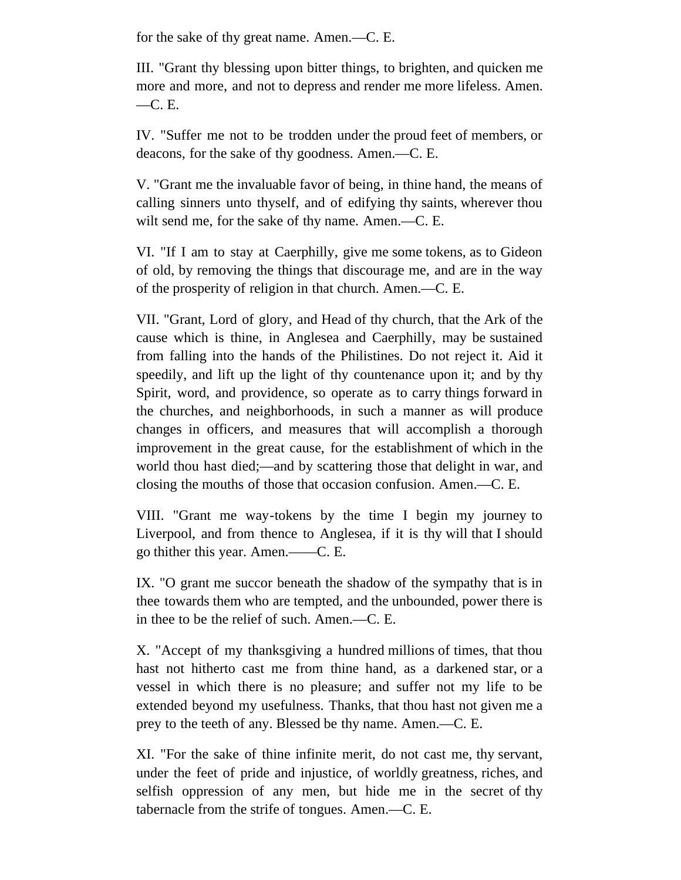for the sake of thy great name. Amen.—C. E.

III. "Grant thy blessing upon bitter things, to brighten, and quicken me more and more, and not to depress and render me more lifeless. Amen. —C. E.

IV. "Suffer me not to be trodden under the proud feet of members, or deacons, for the sake of thy goodness. Amen.—C. E.

V. "Grant me the invaluable favor of being, in thine hand, the means of calling sinners unto thyself, and of edifying thy saints, wherever thou wilt send me, for the sake of thy name. Amen.—C. E.

VI. "If I am to stay at Caerphilly, give me some tokens, as to Gideon of old, by removing the things that discourage me, and are in the way of the prosperity of religion in that church. Amen.—C. E.

VII. "Grant, Lord of glory, and Head of thy church, that the Ark of the cause which is thine, in Anglesea and Caerphilly, may be sustained from falling into the hands of the Philistines. Do not reject it. Aid it speedily, and lift up the light of thy countenance upon it; and by thy Spirit, word, and providence, so operate as to carry things forward in the churches, and neighborhoods, in such a manner as will produce changes in officers, and measures that will accomplish a thorough improvement in the great cause, for the establishment of which in the world thou hast died;—and by scattering those that delight in war, and closing the mouths of those that occasion confusion. Amen.—C. E.

VIII. "Grant me way-tokens by the time I begin my journey to Liverpool, and from thence to Anglesea, if it is thy will that I should go thither this year. Amen.——C. E.

IX. "O grant me succor beneath the shadow of the sympathy that is in thee towards them who are tempted, and the unbounded, power there is in thee to be the relief of such. Amen.—C. E.

X. "Accept of my thanksgiving a hundred millions of times, that thou hast not hitherto cast me from thine hand, as a darkened star, or a vessel in which there is no pleasure; and suffer not my life to be extended beyond my usefulness. Thanks, that thou hast not given me a prey to the teeth of any. Blessed be thy name. Amen.—C. E.

XI. "For the sake of thine infinite merit, do not cast me, thy servant, under the feet of pride and injustice, of worldly greatness, riches, and selfish oppression of any men, but hide me in the secret of thy tabernacle from the strife of tongues. Amen.—C. E.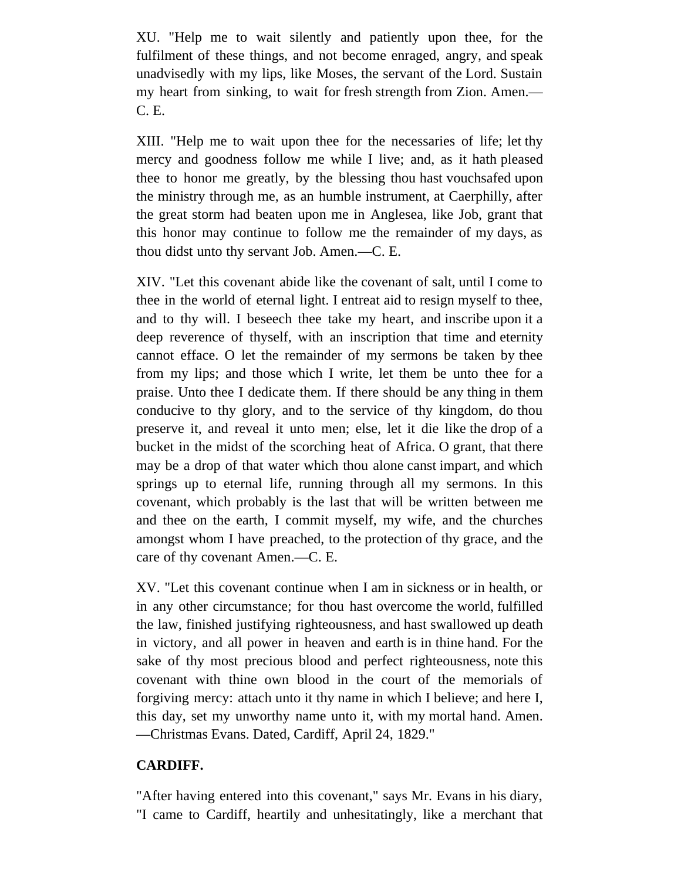XU. "Help me to wait silently and patiently upon thee, for the fulfilment of these things, and not become enraged, angry, and speak unadvisedly with my lips, like Moses, the servant of the Lord. Sustain my heart from sinking, to wait for fresh strength from Zion. Amen.— C. E.

XIII. "Help me to wait upon thee for the necessaries of life; let thy mercy and goodness follow me while I live; and, as it hath pleased thee to honor me greatly, by the blessing thou hast vouchsafed upon the ministry through me, as an humble instrument, at Caerphilly, after the great storm had beaten upon me in Anglesea, like Job, grant that this honor may continue to follow me the remainder of my days, as thou didst unto thy servant Job. Amen.—C. E.

XIV. "Let this covenant abide like the covenant of salt, until I come to thee in the world of eternal light. I entreat aid to resign myself to thee, and to thy will. I beseech thee take my heart, and inscribe upon it a deep reverence of thyself, with an inscription that time and eternity cannot efface. O let the remainder of my sermons be taken by thee from my lips; and those which I write, let them be unto thee for a praise. Unto thee I dedicate them. If there should be any thing in them conducive to thy glory, and to the service of thy kingdom, do thou preserve it, and reveal it unto men; else, let it die like the drop of a bucket in the midst of the scorching heat of Africa. O grant, that there may be a drop of that water which thou alone canst impart, and which springs up to eternal life, running through all my sermons. In this covenant, which probably is the last that will be written between me and thee on the earth, I commit myself, my wife, and the churches amongst whom I have preached, to the protection of thy grace, and the care of thy covenant Amen.—C. E.

XV. "Let this covenant continue when I am in sickness or in health, or in any other circumstance; for thou hast overcome the world, fulfilled the law, finished justifying righteousness, and hast swallowed up death in victory, and all power in heaven and earth is in thine hand. For the sake of thy most precious blood and perfect righteousness, note this covenant with thine own blood in the court of the memorials of forgiving mercy: attach unto it thy name in which I believe; and here I, this day, set my unworthy name unto it, with my mortal hand. Amen. —Christmas Evans. Dated, Cardiff, April 24, 1829."

# **CARDIFF.**

"After having entered into this covenant," says Mr. Evans in his diary, "I came to Cardiff, heartily and unhesitatingly, like a merchant that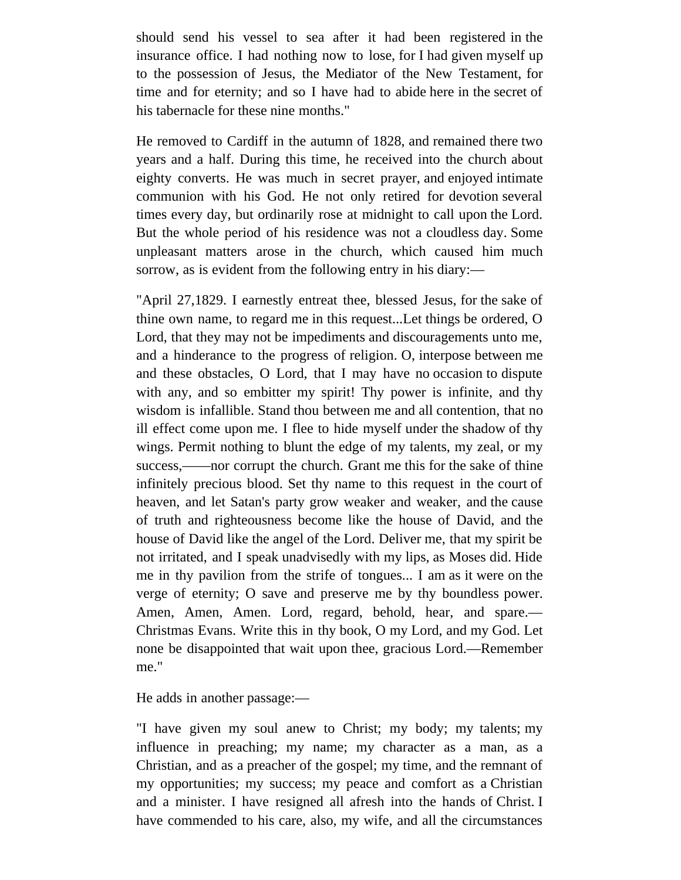should send his vessel to sea after it had been registered in the insurance office. I had nothing now to lose, for I had given myself up to the possession of Jesus, the Mediator of the New Testament, for time and for eternity; and so I have had to abide here in the secret of his tabernacle for these nine months."

He removed to Cardiff in the autumn of 1828, and remained there two years and a half. During this time, he received into the church about eighty converts. He was much in secret prayer, and enjoyed intimate communion with his God. He not only retired for devotion several times every day, but ordinarily rose at midnight to call upon the Lord. But the whole period of his residence was not a cloudless day. Some unpleasant matters arose in the church, which caused him much sorrow, as is evident from the following entry in his diary:—

"April 27,1829. I earnestly entreat thee, blessed Jesus, for the sake of thine own name, to regard me in this request...Let things be ordered, O Lord, that they may not be impediments and discouragements unto me, and a hinderance to the progress of religion. O, interpose between me and these obstacles, O Lord, that I may have no occasion to dispute with any, and so embitter my spirit! Thy power is infinite, and thy wisdom is infallible. Stand thou between me and all contention, that no ill effect come upon me. I flee to hide myself under the shadow of thy wings. Permit nothing to blunt the edge of my talents, my zeal, or my success,——nor corrupt the church. Grant me this for the sake of thine infinitely precious blood. Set thy name to this request in the court of heaven, and let Satan's party grow weaker and weaker, and the cause of truth and righteousness become like the house of David, and the house of David like the angel of the Lord. Deliver me, that my spirit be not irritated, and I speak unadvisedly with my lips, as Moses did. Hide me in thy pavilion from the strife of tongues... I am as it were on the verge of eternity; O save and preserve me by thy boundless power. Amen, Amen, Amen. Lord, regard, behold, hear, and spare.— Christmas Evans. Write this in thy book, O my Lord, and my God. Let none be disappointed that wait upon thee, gracious Lord.—Remember me."

He adds in another passage:—

"I have given my soul anew to Christ; my body; my talents; my influence in preaching; my name; my character as a man, as a Christian, and as a preacher of the gospel; my time, and the remnant of my opportunities; my success; my peace and comfort as a Christian and a minister. I have resigned all afresh into the hands of Christ. I have commended to his care, also, my wife, and all the circumstances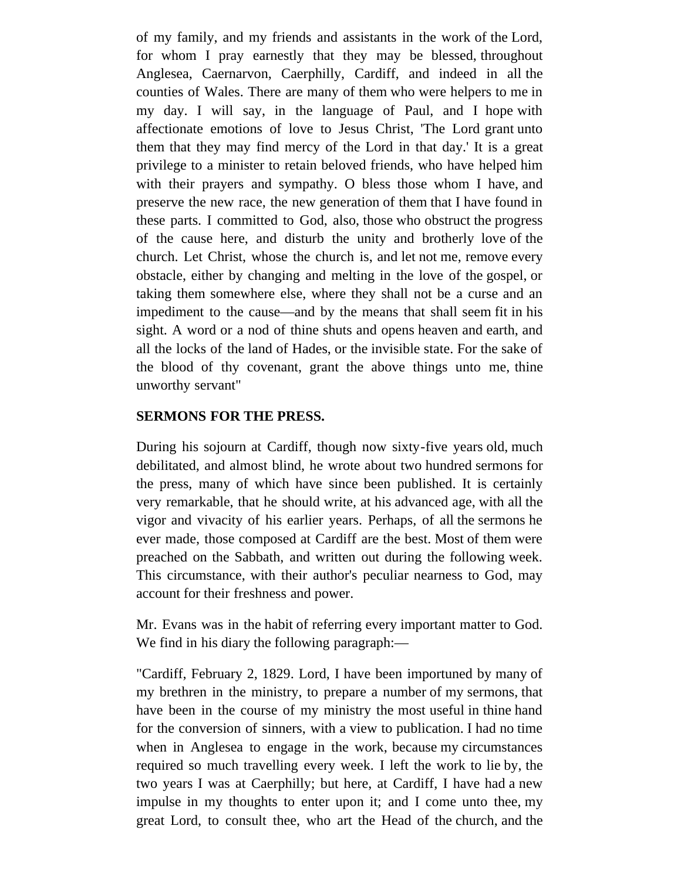of my family, and my friends and assistants in the work of the Lord, for whom I pray earnestly that they may be blessed, throughout Anglesea, Caernarvon, Caerphilly, Cardiff, and indeed in all the counties of Wales. There are many of them who were helpers to me in my day. I will say, in the language of Paul, and I hope with affectionate emotions of love to Jesus Christ, 'The Lord grant unto them that they may find mercy of the Lord in that day.' It is a great privilege to a minister to retain beloved friends, who have helped him with their prayers and sympathy. O bless those whom I have, and preserve the new race, the new generation of them that I have found in these parts. I committed to God, also, those who obstruct the progress of the cause here, and disturb the unity and brotherly love of the church. Let Christ, whose the church is, and let not me, remove every obstacle, either by changing and melting in the love of the gospel, or taking them somewhere else, where they shall not be a curse and an impediment to the cause—and by the means that shall seem fit in his sight. A word or a nod of thine shuts and opens heaven and earth, and all the locks of the land of Hades, or the invisible state. For the sake of the blood of thy covenant, grant the above things unto me, thine unworthy servant"

#### **SERMONS FOR THE PRESS.**

During his sojourn at Cardiff, though now sixty-five years old, much debilitated, and almost blind, he wrote about two hundred sermons for the press, many of which have since been published. It is certainly very remarkable, that he should write, at his advanced age, with all the vigor and vivacity of his earlier years. Perhaps, of all the sermons he ever made, those composed at Cardiff are the best. Most of them were preached on the Sabbath, and written out during the following week. This circumstance, with their author's peculiar nearness to God, may account for their freshness and power.

Mr. Evans was in the habit of referring every important matter to God. We find in his diary the following paragraph:—

"Cardiff, February 2, 1829. Lord, I have been importuned by many of my brethren in the ministry, to prepare a number of my sermons, that have been in the course of my ministry the most useful in thine hand for the conversion of sinners, with a view to publication. I had no time when in Anglesea to engage in the work, because my circumstances required so much travelling every week. I left the work to lie by, the two years I was at Caerphilly; but here, at Cardiff, I have had a new impulse in my thoughts to enter upon it; and I come unto thee, my great Lord, to consult thee, who art the Head of the church, and the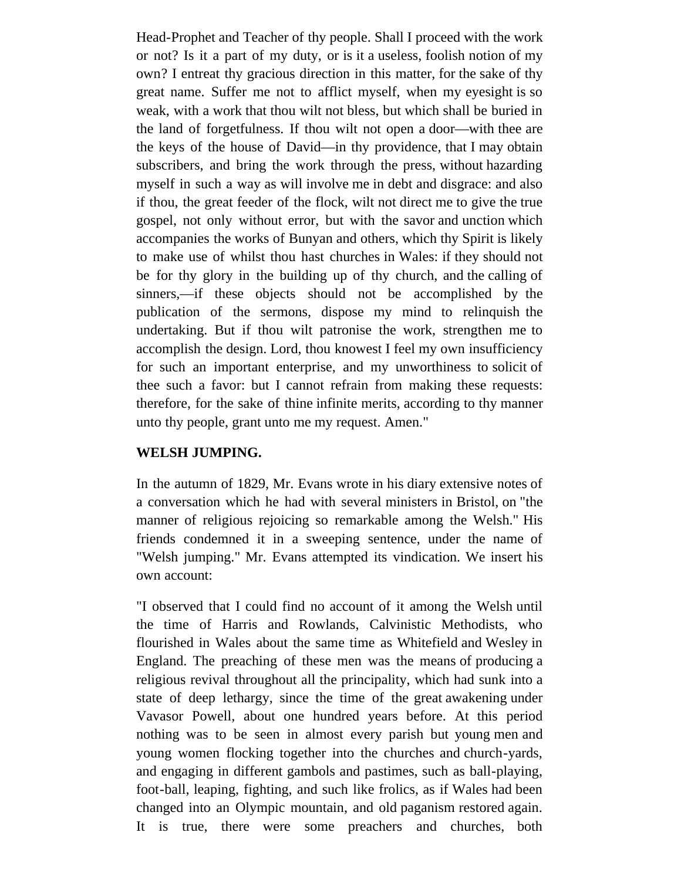Head-Prophet and Teacher of thy people. Shall I proceed with the work or not? Is it a part of my duty, or is it a useless, foolish notion of my own? I entreat thy gracious direction in this matter, for the sake of thy great name. Suffer me not to afflict myself, when my eyesight is so weak, with a work that thou wilt not bless, but which shall be buried in the land of forgetfulness. If thou wilt not open a door—with thee are the keys of the house of David—in thy providence, that I may obtain subscribers, and bring the work through the press, without hazarding myself in such a way as will involve me in debt and disgrace: and also if thou, the great feeder of the flock, wilt not direct me to give the true gospel, not only without error, but with the savor and unction which accompanies the works of Bunyan and others, which thy Spirit is likely to make use of whilst thou hast churches in Wales: if they should not be for thy glory in the building up of thy church, and the calling of sinners,—if these objects should not be accomplished by the publication of the sermons, dispose my mind to relinquish the undertaking. But if thou wilt patronise the work, strengthen me to accomplish the design. Lord, thou knowest I feel my own insufficiency for such an important enterprise, and my unworthiness to solicit of thee such a favor: but I cannot refrain from making these requests: therefore, for the sake of thine infinite merits, according to thy manner unto thy people, grant unto me my request. Amen."

### **WELSH JUMPING.**

In the autumn of 1829, Mr. Evans wrote in his diary extensive notes of a conversation which he had with several ministers in Bristol, on "the manner of religious rejoicing so remarkable among the Welsh." His friends condemned it in a sweeping sentence, under the name of "Welsh jumping." Mr. Evans attempted its vindication. We insert his own account:

"I observed that I could find no account of it among the Welsh until the time of Harris and Rowlands, Calvinistic Methodists, who flourished in Wales about the same time as Whitefield and Wesley in England. The preaching of these men was the means of producing a religious revival throughout all the principality, which had sunk into a state of deep lethargy, since the time of the great awakening under Vavasor Powell, about one hundred years before. At this period nothing was to be seen in almost every parish but young men and young women flocking together into the churches and church-yards, and engaging in different gambols and pastimes, such as ball-playing, foot-ball, leaping, fighting, and such like frolics, as if Wales had been changed into an Olympic mountain, and old paganism restored again. It is true, there were some preachers and churches, both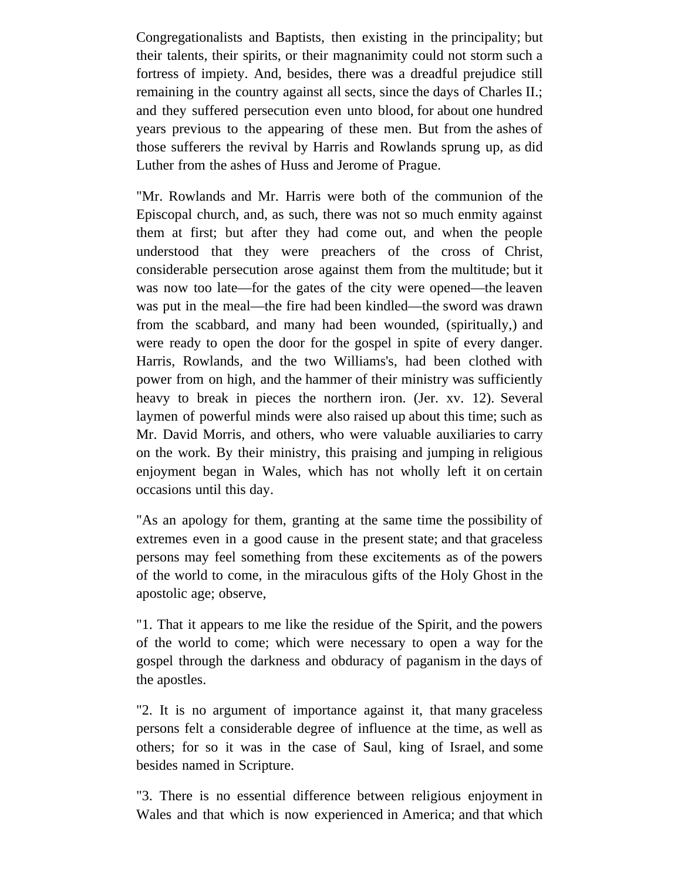Congregationalists and Baptists, then existing in the principality; but their talents, their spirits, or their magnanimity could not storm such a fortress of impiety. And, besides, there was a dreadful prejudice still remaining in the country against all sects, since the days of Charles II.; and they suffered persecution even unto blood, for about one hundred years previous to the appearing of these men. But from the ashes of those sufferers the revival by Harris and Rowlands sprung up, as did Luther from the ashes of Huss and Jerome of Prague.

"Mr. Rowlands and Mr. Harris were both of the communion of the Episcopal church, and, as such, there was not so much enmity against them at first; but after they had come out, and when the people understood that they were preachers of the cross of Christ, considerable persecution arose against them from the multitude; but it was now too late—for the gates of the city were opened—the leaven was put in the meal—the fire had been kindled—the sword was drawn from the scabbard, and many had been wounded, (spiritually,) and were ready to open the door for the gospel in spite of every danger. Harris, Rowlands, and the two Williams's, had been clothed with power from on high, and the hammer of their ministry was sufficiently heavy to break in pieces the northern iron. (Jer. xv. 12). Several laymen of powerful minds were also raised up about this time; such as Mr. David Morris, and others, who were valuable auxiliaries to carry on the work. By their ministry, this praising and jumping in religious enjoyment began in Wales, which has not wholly left it on certain occasions until this day.

"As an apology for them, granting at the same time the possibility of extremes even in a good cause in the present state; and that graceless persons may feel something from these excitements as of the powers of the world to come, in the miraculous gifts of the Holy Ghost in the apostolic age; observe,

"1. That it appears to me like the residue of the Spirit, and the powers of the world to come; which were necessary to open a way for the gospel through the darkness and obduracy of paganism in the days of the apostles.

"2. It is no argument of importance against it, that many graceless persons felt a considerable degree of influence at the time, as well as others; for so it was in the case of Saul, king of Israel, and some besides named in Scripture.

"3. There is no essential difference between religious enjoyment in Wales and that which is now experienced in America; and that which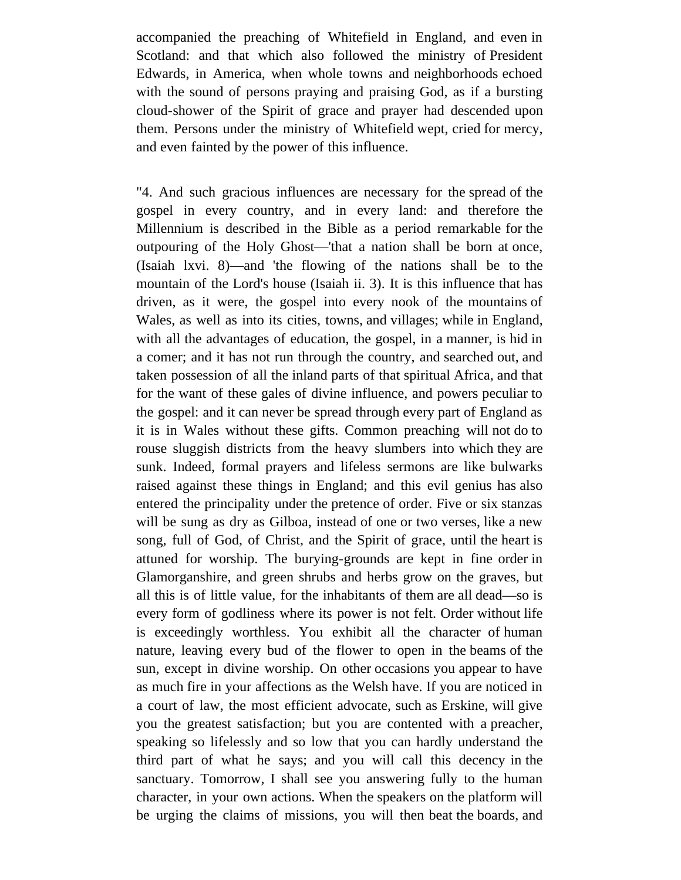accompanied the preaching of Whitefield in England, and even in Scotland: and that which also followed the ministry of President Edwards, in America, when whole towns and neighborhoods echoed with the sound of persons praying and praising God, as if a bursting cloud-shower of the Spirit of grace and prayer had descended upon them. Persons under the ministry of Whitefield wept, cried for mercy, and even fainted by the power of this influence.

"4. And such gracious influences are necessary for the spread of the gospel in every country, and in every land: and therefore the Millennium is described in the Bible as a period remarkable for the outpouring of the Holy Ghost—'that a nation shall be born at once, (Isaiah lxvi. 8)—and 'the flowing of the nations shall be to the mountain of the Lord's house (Isaiah ii. 3). It is this influence that has driven, as it were, the gospel into every nook of the mountains of Wales, as well as into its cities, towns, and villages; while in England, with all the advantages of education, the gospel, in a manner, is hid in a comer; and it has not run through the country, and searched out, and taken possession of all the inland parts of that spiritual Africa, and that for the want of these gales of divine influence, and powers peculiar to the gospel: and it can never be spread through every part of England as it is in Wales without these gifts. Common preaching will not do to rouse sluggish districts from the heavy slumbers into which they are sunk. Indeed, formal prayers and lifeless sermons are like bulwarks raised against these things in England; and this evil genius has also entered the principality under the pretence of order. Five or six stanzas will be sung as dry as Gilboa, instead of one or two verses, like a new song, full of God, of Christ, and the Spirit of grace, until the heart is attuned for worship. The burying-grounds are kept in fine order in Glamorganshire, and green shrubs and herbs grow on the graves, but all this is of little value, for the inhabitants of them are all dead—so is every form of godliness where its power is not felt. Order without life is exceedingly worthless. You exhibit all the character of human nature, leaving every bud of the flower to open in the beams of the sun, except in divine worship. On other occasions you appear to have as much fire in your affections as the Welsh have. If you are noticed in a court of law, the most efficient advocate, such as Erskine, will give you the greatest satisfaction; but you are contented with a preacher, speaking so lifelessly and so low that you can hardly understand the third part of what he says; and you will call this decency in the sanctuary. Tomorrow, I shall see you answering fully to the human character, in your own actions. When the speakers on the platform will be urging the claims of missions, you will then beat the boards, and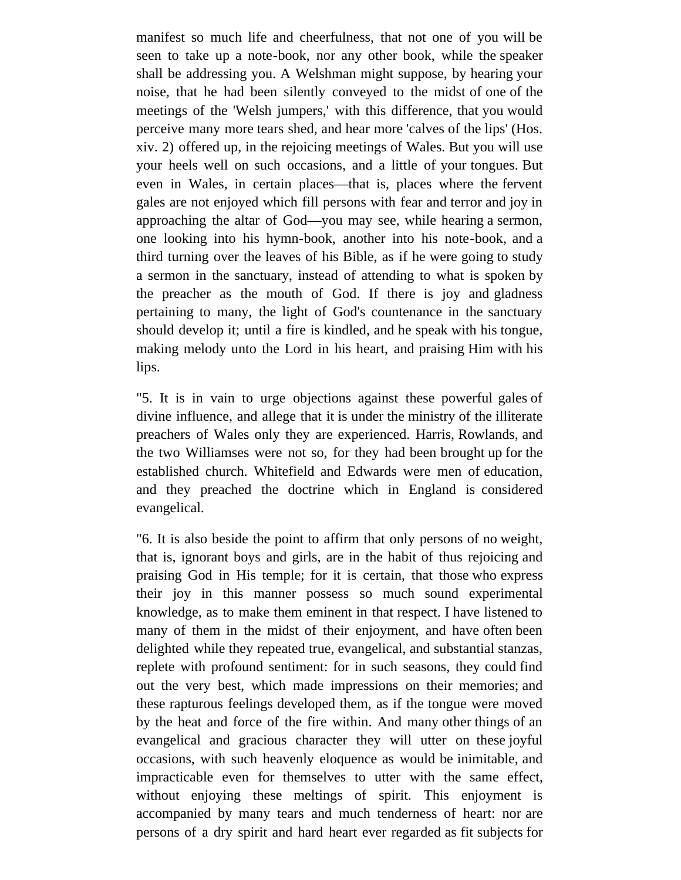manifest so much life and cheerfulness, that not one of you will be seen to take up a note-book, nor any other book, while the speaker shall be addressing you. A Welshman might suppose, by hearing your noise, that he had been silently conveyed to the midst of one of the meetings of the 'Welsh jumpers,' with this difference, that you would perceive many more tears shed, and hear more 'calves of the lips' (Hos. xiv. 2) offered up, in the rejoicing meetings of Wales. But you will use your heels well on such occasions, and a little of your tongues. But even in Wales, in certain places—that is, places where the fervent gales are not enjoyed which fill persons with fear and terror and joy in approaching the altar of God—you may see, while hearing a sermon, one looking into his hymn-book, another into his note-book, and a third turning over the leaves of his Bible, as if he were going to study a sermon in the sanctuary, instead of attending to what is spoken by the preacher as the mouth of God. If there is joy and gladness pertaining to many, the light of God's countenance in the sanctuary should develop it; until a fire is kindled, and he speak with his tongue, making melody unto the Lord in his heart, and praising Him with his lips.

"5. It is in vain to urge objections against these powerful gales of divine influence, and allege that it is under the ministry of the illiterate preachers of Wales only they are experienced. Harris, Rowlands, and the two Williamses were not so, for they had been brought up for the established church. Whitefield and Edwards were men of education, and they preached the doctrine which in England is considered evangelical.

"6. It is also beside the point to affirm that only persons of no weight, that is, ignorant boys and girls, are in the habit of thus rejoicing and praising God in His temple; for it is certain, that those who express their joy in this manner possess so much sound experimental knowledge, as to make them eminent in that respect. I have listened to many of them in the midst of their enjoyment, and have often been delighted while they repeated true, evangelical, and substantial stanzas, replete with profound sentiment: for in such seasons, they could find out the very best, which made impressions on their memories; and these rapturous feelings developed them, as if the tongue were moved by the heat and force of the fire within. And many other things of an evangelical and gracious character they will utter on these joyful occasions, with such heavenly eloquence as would be inimitable, and impracticable even for themselves to utter with the same effect, without enjoying these meltings of spirit. This enjoyment is accompanied by many tears and much tenderness of heart: nor are persons of a dry spirit and hard heart ever regarded as fit subjects for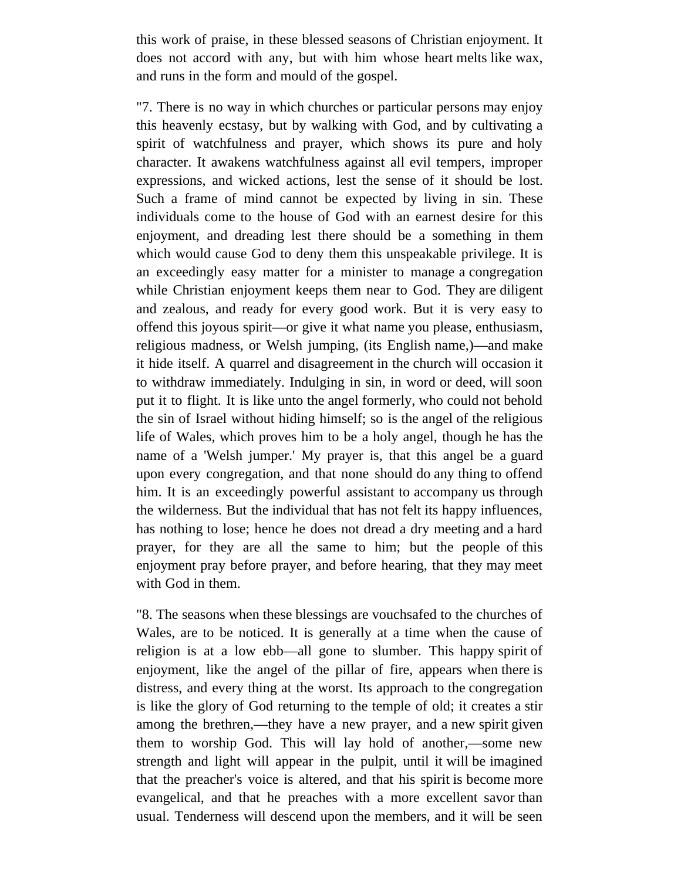this work of praise, in these blessed seasons of Christian enjoyment. It does not accord with any, but with him whose heart melts like wax, and runs in the form and mould of the gospel.

"7. There is no way in which churches or particular persons may enjoy this heavenly ecstasy, but by walking with God, and by cultivating a spirit of watchfulness and prayer, which shows its pure and holy character. It awakens watchfulness against all evil tempers, improper expressions, and wicked actions, lest the sense of it should be lost. Such a frame of mind cannot be expected by living in sin. These individuals come to the house of God with an earnest desire for this enjoyment, and dreading lest there should be a something in them which would cause God to deny them this unspeakable privilege. It is an exceedingly easy matter for a minister to manage a congregation while Christian enjoyment keeps them near to God. They are diligent and zealous, and ready for every good work. But it is very easy to offend this joyous spirit—or give it what name you please, enthusiasm, religious madness, or Welsh jumping, (its English name,)—and make it hide itself. A quarrel and disagreement in the church will occasion it to withdraw immediately. Indulging in sin, in word or deed, will soon put it to flight. It is like unto the angel formerly, who could not behold the sin of Israel without hiding himself; so is the angel of the religious life of Wales, which proves him to be a holy angel, though he has the name of a 'Welsh jumper.' My prayer is, that this angel be a guard upon every congregation, and that none should do any thing to offend him. It is an exceedingly powerful assistant to accompany us through the wilderness. But the individual that has not felt its happy influences, has nothing to lose; hence he does not dread a dry meeting and a hard prayer, for they are all the same to him; but the people of this enjoyment pray before prayer, and before hearing, that they may meet with God in them.

"8. The seasons when these blessings are vouchsafed to the churches of Wales, are to be noticed. It is generally at a time when the cause of religion is at a low ebb—all gone to slumber. This happy spirit of enjoyment, like the angel of the pillar of fire, appears when there is distress, and every thing at the worst. Its approach to the congregation is like the glory of God returning to the temple of old; it creates a stir among the brethren,—they have a new prayer, and a new spirit given them to worship God. This will lay hold of another,—some new strength and light will appear in the pulpit, until it will be imagined that the preacher's voice is altered, and that his spirit is become more evangelical, and that he preaches with a more excellent savor than usual. Tenderness will descend upon the members, and it will be seen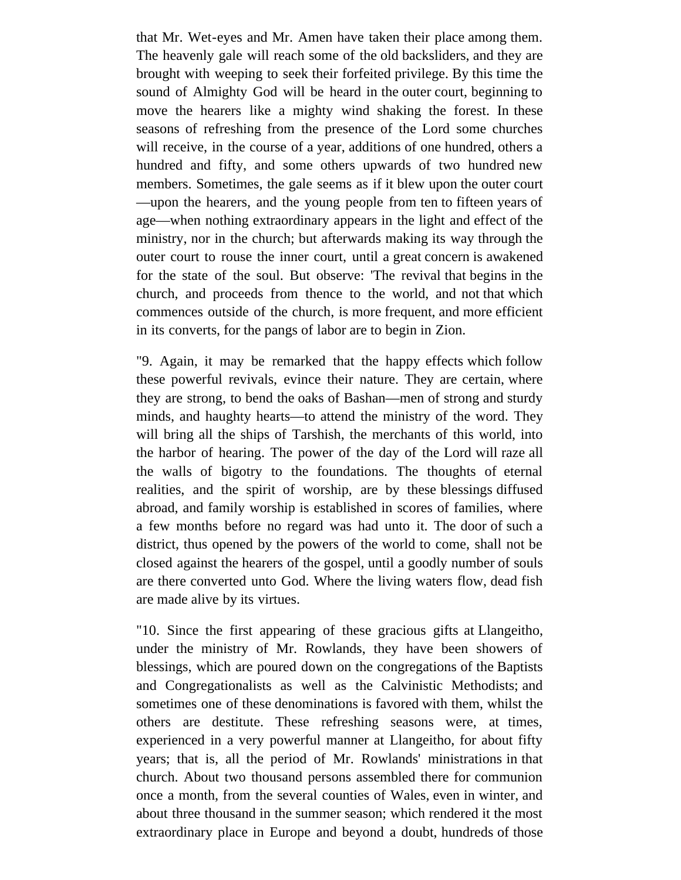that Mr. Wet-eyes and Mr. Amen have taken their place among them. The heavenly gale will reach some of the old backsliders, and they are brought with weeping to seek their forfeited privilege. By this time the sound of Almighty God will be heard in the outer court, beginning to move the hearers like a mighty wind shaking the forest. In these seasons of refreshing from the presence of the Lord some churches will receive, in the course of a year, additions of one hundred, others a hundred and fifty, and some others upwards of two hundred new members. Sometimes, the gale seems as if it blew upon the outer court —upon the hearers, and the young people from ten to fifteen years of age—when nothing extraordinary appears in the light and effect of the ministry, nor in the church; but afterwards making its way through the outer court to rouse the inner court, until a great concern is awakened for the state of the soul. But observe: 'The revival that begins in the church, and proceeds from thence to the world, and not that which commences outside of the church, is more frequent, and more efficient in its converts, for the pangs of labor are to begin in Zion.

"9. Again, it may be remarked that the happy effects which follow these powerful revivals, evince their nature. They are certain, where they are strong, to bend the oaks of Bashan—men of strong and sturdy minds, and haughty hearts—to attend the ministry of the word. They will bring all the ships of Tarshish, the merchants of this world, into the harbor of hearing. The power of the day of the Lord will raze all the walls of bigotry to the foundations. The thoughts of eternal realities, and the spirit of worship, are by these blessings diffused abroad, and family worship is established in scores of families, where a few months before no regard was had unto it. The door of such a district, thus opened by the powers of the world to come, shall not be closed against the hearers of the gospel, until a goodly number of souls are there converted unto God. Where the living waters flow, dead fish are made alive by its virtues.

"10. Since the first appearing of these gracious gifts at Llangeitho, under the ministry of Mr. Rowlands, they have been showers of blessings, which are poured down on the congregations of the Baptists and Congregationalists as well as the Calvinistic Methodists; and sometimes one of these denominations is favored with them, whilst the others are destitute. These refreshing seasons were, at times, experienced in a very powerful manner at Llangeitho, for about fifty years; that is, all the period of Mr. Rowlands' ministrations in that church. About two thousand persons assembled there for communion once a month, from the several counties of Wales, even in winter, and about three thousand in the summer season; which rendered it the most extraordinary place in Europe and beyond a doubt, hundreds of those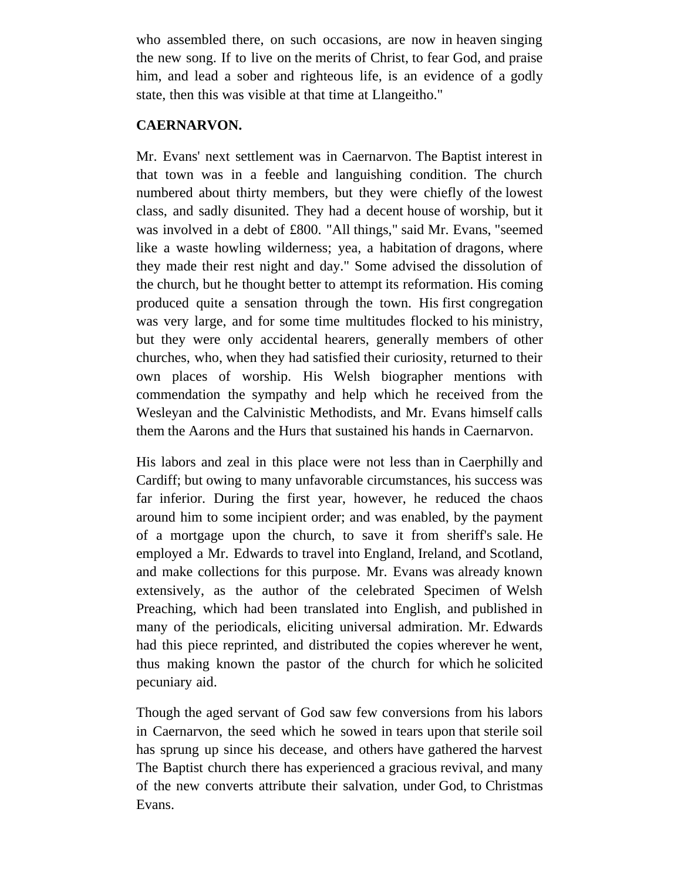who assembled there, on such occasions, are now in heaven singing the new song. If to live on the merits of Christ, to fear God, and praise him, and lead a sober and righteous life, is an evidence of a godly state, then this was visible at that time at Llangeitho."

### **CAERNARVON.**

Mr. Evans' next settlement was in Caernarvon. The Baptist interest in that town was in a feeble and languishing condition. The church numbered about thirty members, but they were chiefly of the lowest class, and sadly disunited. They had a decent house of worship, but it was involved in a debt of £800. "All things," said Mr. Evans, "seemed like a waste howling wilderness; yea, a habitation of dragons, where they made their rest night and day." Some advised the dissolution of the church, but he thought better to attempt its reformation. His coming produced quite a sensation through the town. His first congregation was very large, and for some time multitudes flocked to his ministry, but they were only accidental hearers, generally members of other churches, who, when they had satisfied their curiosity, returned to their own places of worship. His Welsh biographer mentions with commendation the sympathy and help which he received from the Wesleyan and the Calvinistic Methodists, and Mr. Evans himself calls them the Aarons and the Hurs that sustained his hands in Caernarvon.

His labors and zeal in this place were not less than in Caerphilly and Cardiff; but owing to many unfavorable circumstances, his success was far inferior. During the first year, however, he reduced the chaos around him to some incipient order; and was enabled, by the payment of a mortgage upon the church, to save it from sheriff's sale. He employed a Mr. Edwards to travel into England, Ireland, and Scotland, and make collections for this purpose. Mr. Evans was already known extensively, as the author of the celebrated Specimen of Welsh Preaching, which had been translated into English, and published in many of the periodicals, eliciting universal admiration. Mr. Edwards had this piece reprinted, and distributed the copies wherever he went, thus making known the pastor of the church for which he solicited pecuniary aid.

Though the aged servant of God saw few conversions from his labors in Caernarvon, the seed which he sowed in tears upon that sterile soil has sprung up since his decease, and others have gathered the harvest The Baptist church there has experienced a gracious revival, and many of the new converts attribute their salvation, under God, to Christmas Evans.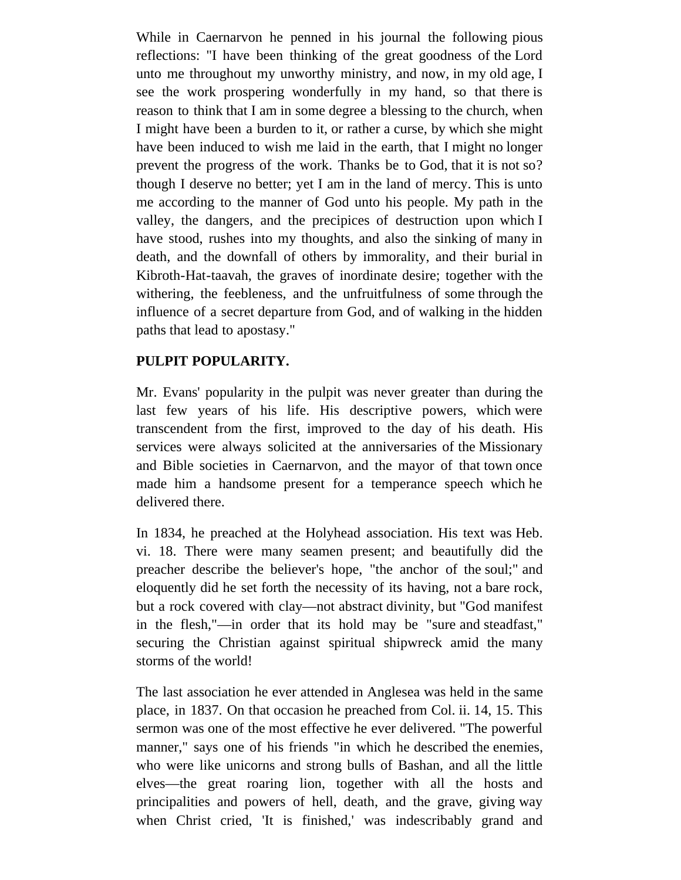While in Caernarvon he penned in his journal the following pious reflections: "I have been thinking of the great goodness of the Lord unto me throughout my unworthy ministry, and now, in my old age, I see the work prospering wonderfully in my hand, so that there is reason to think that I am in some degree a blessing to the church, when I might have been a burden to it, or rather a curse, by which she might have been induced to wish me laid in the earth, that I might no longer prevent the progress of the work. Thanks be to God, that it is not so? though I deserve no better; yet I am in the land of mercy. This is unto me according to the manner of God unto his people. My path in the valley, the dangers, and the precipices of destruction upon which I have stood, rushes into my thoughts, and also the sinking of many in death, and the downfall of others by immorality, and their burial in Kibroth-Hat-taavah, the graves of inordinate desire; together with the withering, the feebleness, and the unfruitfulness of some through the influence of a secret departure from God, and of walking in the hidden paths that lead to apostasy."

# **PULPIT POPULARITY.**

Mr. Evans' popularity in the pulpit was never greater than during the last few years of his life. His descriptive powers, which were transcendent from the first, improved to the day of his death. His services were always solicited at the anniversaries of the Missionary and Bible societies in Caernarvon, and the mayor of that town once made him a handsome present for a temperance speech which he delivered there.

In 1834, he preached at the Holyhead association. His text was Heb. vi. 18. There were many seamen present; and beautifully did the preacher describe the believer's hope, "the anchor of the soul;" and eloquently did he set forth the necessity of its having, not a bare rock, but a rock covered with clay—not abstract divinity, but "God manifest in the flesh,"—in order that its hold may be "sure and steadfast," securing the Christian against spiritual shipwreck amid the many storms of the world!

The last association he ever attended in Anglesea was held in the same place, in 1837. On that occasion he preached from Col. ii. 14, 15. This sermon was one of the most effective he ever delivered. "The powerful manner," says one of his friends "in which he described the enemies, who were like unicorns and strong bulls of Bashan, and all the little elves—the great roaring lion, together with all the hosts and principalities and powers of hell, death, and the grave, giving way when Christ cried, 'It is finished,' was indescribably grand and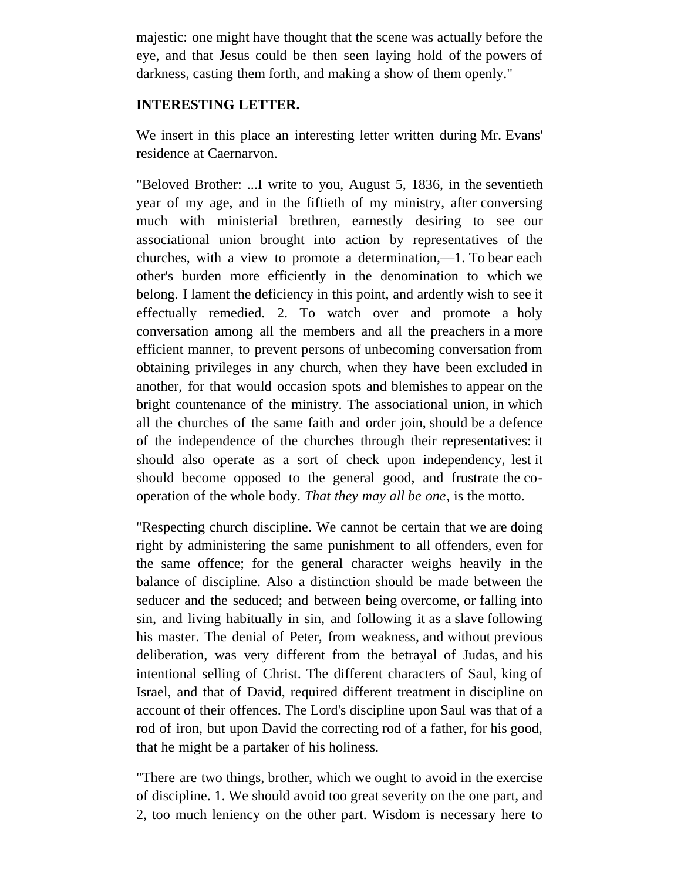majestic: one might have thought that the scene was actually before the eye, and that Jesus could be then seen laying hold of the powers of darkness, casting them forth, and making a show of them openly."

#### **INTERESTING LETTER.**

We insert in this place an interesting letter written during Mr. Evans' residence at Caernarvon.

"Beloved Brother: ...I write to you, August 5, 1836, in the seventieth year of my age, and in the fiftieth of my ministry, after conversing much with ministerial brethren, earnestly desiring to see our associational union brought into action by representatives of the churches, with a view to promote a determination,—1. To bear each other's burden more efficiently in the denomination to which we belong. I lament the deficiency in this point, and ardently wish to see it effectually remedied. 2. To watch over and promote a holy conversation among all the members and all the preachers in a more efficient manner, to prevent persons of unbecoming conversation from obtaining privileges in any church, when they have been excluded in another, for that would occasion spots and blemishes to appear on the bright countenance of the ministry. The associational union, in which all the churches of the same faith and order join, should be a defence of the independence of the churches through their representatives: it should also operate as a sort of check upon independency, lest it should become opposed to the general good, and frustrate the cooperation of the whole body. *That they may all be one*, is the motto.

"Respecting church discipline. We cannot be certain that we are doing right by administering the same punishment to all offenders, even for the same offence; for the general character weighs heavily in the balance of discipline. Also a distinction should be made between the seducer and the seduced; and between being overcome, or falling into sin, and living habitually in sin, and following it as a slave following his master. The denial of Peter, from weakness, and without previous deliberation, was very different from the betrayal of Judas, and his intentional selling of Christ. The different characters of Saul, king of Israel, and that of David, required different treatment in discipline on account of their offences. The Lord's discipline upon Saul was that of a rod of iron, but upon David the correcting rod of a father, for his good, that he might be a partaker of his holiness.

"There are two things, brother, which we ought to avoid in the exercise of discipline. 1. We should avoid too great severity on the one part, and 2, too much leniency on the other part. Wisdom is necessary here to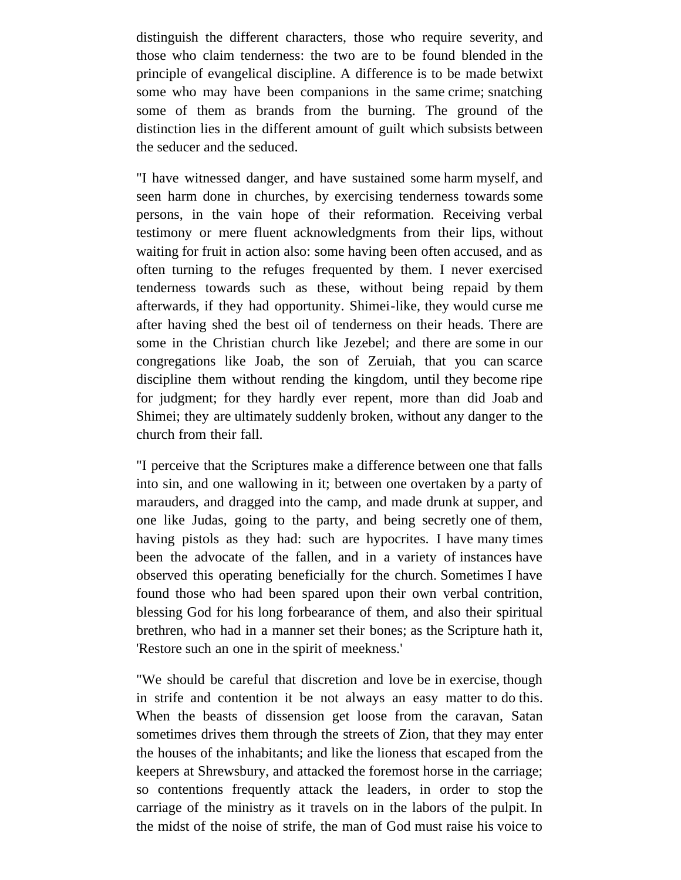distinguish the different characters, those who require severity, and those who claim tenderness: the two are to be found blended in the principle of evangelical discipline. A difference is to be made betwixt some who may have been companions in the same crime; snatching some of them as brands from the burning. The ground of the distinction lies in the different amount of guilt which subsists between the seducer and the seduced.

"I have witnessed danger, and have sustained some harm myself, and seen harm done in churches, by exercising tenderness towards some persons, in the vain hope of their reformation. Receiving verbal testimony or mere fluent acknowledgments from their lips, without waiting for fruit in action also: some having been often accused, and as often turning to the refuges frequented by them. I never exercised tenderness towards such as these, without being repaid by them afterwards, if they had opportunity. Shimei-like, they would curse me after having shed the best oil of tenderness on their heads. There are some in the Christian church like Jezebel; and there are some in our congregations like Joab, the son of Zeruiah, that you can scarce discipline them without rending the kingdom, until they become ripe for judgment; for they hardly ever repent, more than did Joab and Shimei; they are ultimately suddenly broken, without any danger to the church from their fall.

"I perceive that the Scriptures make a difference between one that falls into sin, and one wallowing in it; between one overtaken by a party of marauders, and dragged into the camp, and made drunk at supper, and one like Judas, going to the party, and being secretly one of them, having pistols as they had: such are hypocrites. I have many times been the advocate of the fallen, and in a variety of instances have observed this operating beneficially for the church. Sometimes I have found those who had been spared upon their own verbal contrition, blessing God for his long forbearance of them, and also their spiritual brethren, who had in a manner set their bones; as the Scripture hath it, 'Restore such an one in the spirit of meekness.'

"We should be careful that discretion and love be in exercise, though in strife and contention it be not always an easy matter to do this. When the beasts of dissension get loose from the caravan, Satan sometimes drives them through the streets of Zion, that they may enter the houses of the inhabitants; and like the lioness that escaped from the keepers at Shrewsbury, and attacked the foremost horse in the carriage; so contentions frequently attack the leaders, in order to stop the carriage of the ministry as it travels on in the labors of the pulpit. In the midst of the noise of strife, the man of God must raise his voice to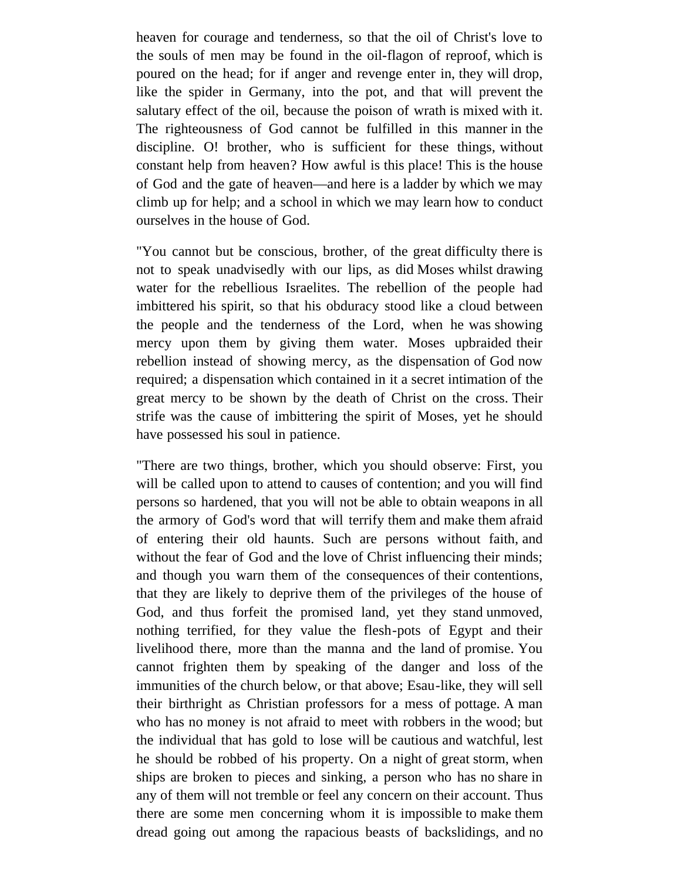heaven for courage and tenderness, so that the oil of Christ's love to the souls of men may be found in the oil-flagon of reproof, which is poured on the head; for if anger and revenge enter in, they will drop, like the spider in Germany, into the pot, and that will prevent the salutary effect of the oil, because the poison of wrath is mixed with it. The righteousness of God cannot be fulfilled in this manner in the discipline. O! brother, who is sufficient for these things, without constant help from heaven? How awful is this place! This is the house of God and the gate of heaven—and here is a ladder by which we may climb up for help; and a school in which we may learn how to conduct ourselves in the house of God.

"You cannot but be conscious, brother, of the great difficulty there is not to speak unadvisedly with our lips, as did Moses whilst drawing water for the rebellious Israelites. The rebellion of the people had imbittered his spirit, so that his obduracy stood like a cloud between the people and the tenderness of the Lord, when he was showing mercy upon them by giving them water. Moses upbraided their rebellion instead of showing mercy, as the dispensation of God now required; a dispensation which contained in it a secret intimation of the great mercy to be shown by the death of Christ on the cross. Their strife was the cause of imbittering the spirit of Moses, yet he should have possessed his soul in patience.

"There are two things, brother, which you should observe: First, you will be called upon to attend to causes of contention; and you will find persons so hardened, that you will not be able to obtain weapons in all the armory of God's word that will terrify them and make them afraid of entering their old haunts. Such are persons without faith, and without the fear of God and the love of Christ influencing their minds; and though you warn them of the consequences of their contentions, that they are likely to deprive them of the privileges of the house of God, and thus forfeit the promised land, yet they stand unmoved, nothing terrified, for they value the flesh-pots of Egypt and their livelihood there, more than the manna and the land of promise. You cannot frighten them by speaking of the danger and loss of the immunities of the church below, or that above; Esau-like, they will sell their birthright as Christian professors for a mess of pottage. A man who has no money is not afraid to meet with robbers in the wood; but the individual that has gold to lose will be cautious and watchful, lest he should be robbed of his property. On a night of great storm, when ships are broken to pieces and sinking, a person who has no share in any of them will not tremble or feel any concern on their account. Thus there are some men concerning whom it is impossible to make them dread going out among the rapacious beasts of backslidings, and no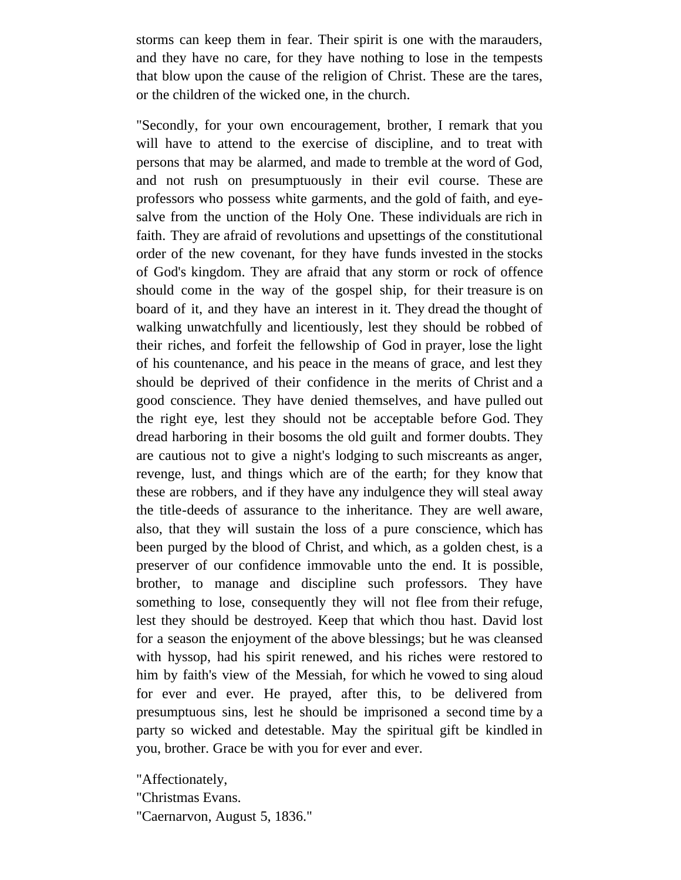storms can keep them in fear. Their spirit is one with the marauders, and they have no care, for they have nothing to lose in the tempests that blow upon the cause of the religion of Christ. These are the tares, or the children of the wicked one, in the church.

"Secondly, for your own encouragement, brother, I remark that you will have to attend to the exercise of discipline, and to treat with persons that may be alarmed, and made to tremble at the word of God, and not rush on presumptuously in their evil course. These are professors who possess white garments, and the gold of faith, and eyesalve from the unction of the Holy One. These individuals are rich in faith. They are afraid of revolutions and upsettings of the constitutional order of the new covenant, for they have funds invested in the stocks of God's kingdom. They are afraid that any storm or rock of offence should come in the way of the gospel ship, for their treasure is on board of it, and they have an interest in it. They dread the thought of walking unwatchfully and licentiously, lest they should be robbed of their riches, and forfeit the fellowship of God in prayer, lose the light of his countenance, and his peace in the means of grace, and lest they should be deprived of their confidence in the merits of Christ and a good conscience. They have denied themselves, and have pulled out the right eye, lest they should not be acceptable before God. They dread harboring in their bosoms the old guilt and former doubts. They are cautious not to give a night's lodging to such miscreants as anger, revenge, lust, and things which are of the earth; for they know that these are robbers, and if they have any indulgence they will steal away the title-deeds of assurance to the inheritance. They are well aware, also, that they will sustain the loss of a pure conscience, which has been purged by the blood of Christ, and which, as a golden chest, is a preserver of our confidence immovable unto the end. It is possible, brother, to manage and discipline such professors. They have something to lose, consequently they will not flee from their refuge, lest they should be destroyed. Keep that which thou hast. David lost for a season the enjoyment of the above blessings; but he was cleansed with hyssop, had his spirit renewed, and his riches were restored to him by faith's view of the Messiah, for which he vowed to sing aloud for ever and ever. He prayed, after this, to be delivered from presumptuous sins, lest he should be imprisoned a second time by a party so wicked and detestable. May the spiritual gift be kindled in you, brother. Grace be with you for ever and ever.

"Affectionately,

"Christmas Evans.

"Caernarvon, August 5, 1836."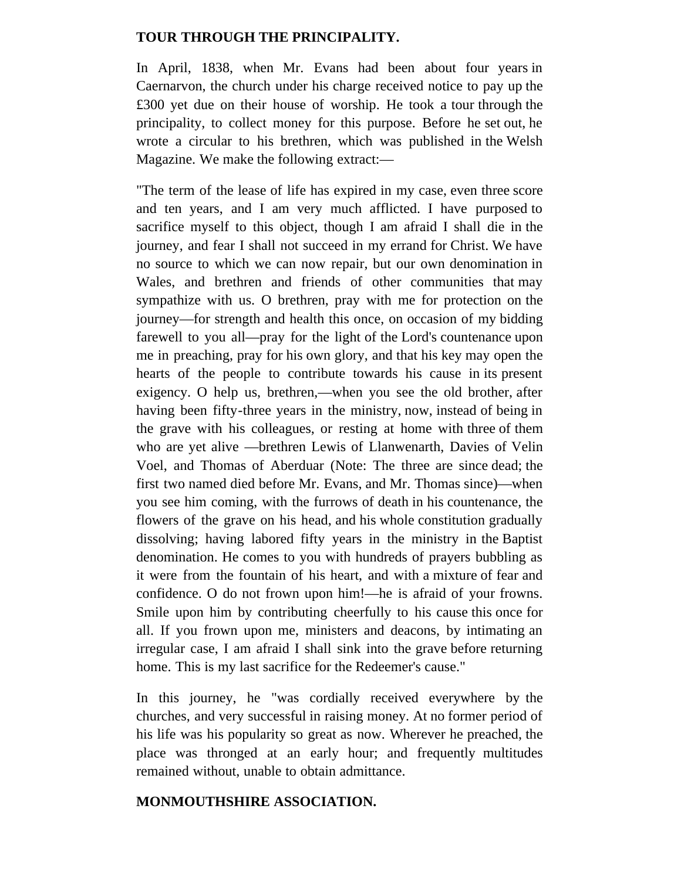### **TOUR THROUGH THE PRINCIPALITY.**

In April, 1838, when Mr. Evans had been about four years in Caernarvon, the church under his charge received notice to pay up the £300 yet due on their house of worship. He took a tour through the principality, to collect money for this purpose. Before he set out, he wrote a circular to his brethren, which was published in the Welsh Magazine. We make the following extract:—

"The term of the lease of life has expired in my case, even three score and ten years, and I am very much afflicted. I have purposed to sacrifice myself to this object, though I am afraid I shall die in the journey, and fear I shall not succeed in my errand for Christ. We have no source to which we can now repair, but our own denomination in Wales, and brethren and friends of other communities that may sympathize with us. O brethren, pray with me for protection on the journey—for strength and health this once, on occasion of my bidding farewell to you all—pray for the light of the Lord's countenance upon me in preaching, pray for his own glory, and that his key may open the hearts of the people to contribute towards his cause in its present exigency. O help us, brethren,—when you see the old brother, after having been fifty-three years in the ministry, now, instead of being in the grave with his colleagues, or resting at home with three of them who are yet alive —brethren Lewis of Llanwenarth, Davies of Velin Voel, and Thomas of Aberduar (Note: The three are since dead; the first two named died before Mr. Evans, and Mr. Thomas since)—when you see him coming, with the furrows of death in his countenance, the flowers of the grave on his head, and his whole constitution gradually dissolving; having labored fifty years in the ministry in the Baptist denomination. He comes to you with hundreds of prayers bubbling as it were from the fountain of his heart, and with a mixture of fear and confidence. O do not frown upon him!—he is afraid of your frowns. Smile upon him by contributing cheerfully to his cause this once for all. If you frown upon me, ministers and deacons, by intimating an irregular case, I am afraid I shall sink into the grave before returning home. This is my last sacrifice for the Redeemer's cause."

In this journey, he "was cordially received everywhere by the churches, and very successful in raising money. At no former period of his life was his popularity so great as now. Wherever he preached, the place was thronged at an early hour; and frequently multitudes remained without, unable to obtain admittance.

#### **MONMOUTHSHIRE ASSOCIATION.**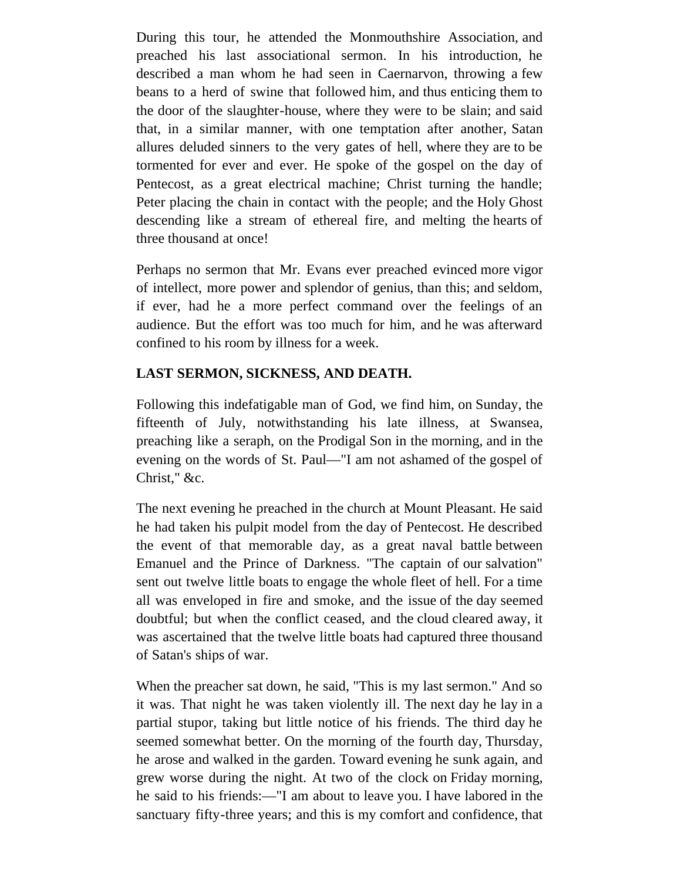During this tour, he attended the Monmouthshire Association, and preached his last associational sermon. In his introduction, he described a man whom he had seen in Caernarvon, throwing a few beans to a herd of swine that followed him, and thus enticing them to the door of the slaughter-house, where they were to be slain; and said that, in a similar manner, with one temptation after another, Satan allures deluded sinners to the very gates of hell, where they are to be tormented for ever and ever. He spoke of the gospel on the day of Pentecost, as a great electrical machine; Christ turning the handle; Peter placing the chain in contact with the people; and the Holy Ghost descending like a stream of ethereal fire, and melting the hearts of three thousand at once!

Perhaps no sermon that Mr. Evans ever preached evinced more vigor of intellect, more power and splendor of genius, than this; and seldom, if ever, had he a more perfect command over the feelings of an audience. But the effort was too much for him, and he was afterward confined to his room by illness for a week.

# **LAST SERMON, SICKNESS, AND DEATH.**

Following this indefatigable man of God, we find him, on Sunday, the fifteenth of July, notwithstanding his late illness, at Swansea, preaching like a seraph, on the Prodigal Son in the morning, and in the evening on the words of St. Paul—"I am not ashamed of the gospel of Christ," &c.

The next evening he preached in the church at Mount Pleasant. He said he had taken his pulpit model from the day of Pentecost. He described the event of that memorable day, as a great naval battle between Emanuel and the Prince of Darkness. "The captain of our salvation" sent out twelve little boats to engage the whole fleet of hell. For a time all was enveloped in fire and smoke, and the issue of the day seemed doubtful; but when the conflict ceased, and the cloud cleared away, it was ascertained that the twelve little boats had captured three thousand of Satan's ships of war.

When the preacher sat down, he said, "This is my last sermon." And so it was. That night he was taken violently ill. The next day he lay in a partial stupor, taking but little notice of his friends. The third day he seemed somewhat better. On the morning of the fourth day, Thursday, he arose and walked in the garden. Toward evening he sunk again, and grew worse during the night. At two of the clock on Friday morning, he said to his friends:—"I am about to leave you. I have labored in the sanctuary fifty-three years; and this is my comfort and confidence, that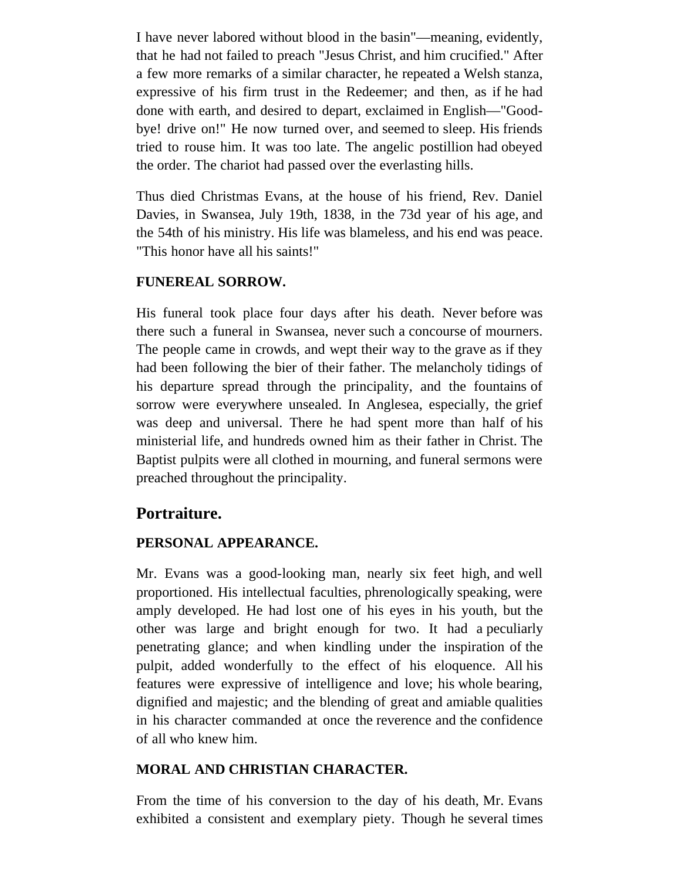I have never labored without blood in the basin"—meaning, evidently, that he had not failed to preach "Jesus Christ, and him crucified." After a few more remarks of a similar character, he repeated a Welsh stanza, expressive of his firm trust in the Redeemer; and then, as if he had done with earth, and desired to depart, exclaimed in English—"Goodbye! drive on!" He now turned over, and seemed to sleep. His friends tried to rouse him. It was too late. The angelic postillion had obeyed the order. The chariot had passed over the everlasting hills.

Thus died Christmas Evans, at the house of his friend, Rev. Daniel Davies, in Swansea, July 19th, 1838, in the 73d year of his age, and the 54th of his ministry. His life was blameless, and his end was peace. "This honor have all his saints!"

### **FUNEREAL SORROW.**

His funeral took place four days after his death. Never before was there such a funeral in Swansea, never such a concourse of mourners. The people came in crowds, and wept their way to the grave as if they had been following the bier of their father. The melancholy tidings of his departure spread through the principality, and the fountains of sorrow were everywhere unsealed. In Anglesea, especially, the grief was deep and universal. There he had spent more than half of his ministerial life, and hundreds owned him as their father in Christ. The Baptist pulpits were all clothed in mourning, and funeral sermons were preached throughout the principality.

# **Portraiture.**

# **PERSONAL APPEARANCE.**

Mr. Evans was a good-looking man, nearly six feet high, and well proportioned. His intellectual faculties, phrenologically speaking, were amply developed. He had lost one of his eyes in his youth, but the other was large and bright enough for two. It had a peculiarly penetrating glance; and when kindling under the inspiration of the pulpit, added wonderfully to the effect of his eloquence. All his features were expressive of intelligence and love; his whole bearing, dignified and majestic; and the blending of great and amiable qualities in his character commanded at once the reverence and the confidence of all who knew him.

### **MORAL AND CHRISTIAN CHARACTER.**

From the time of his conversion to the day of his death, Mr. Evans exhibited a consistent and exemplary piety. Though he several times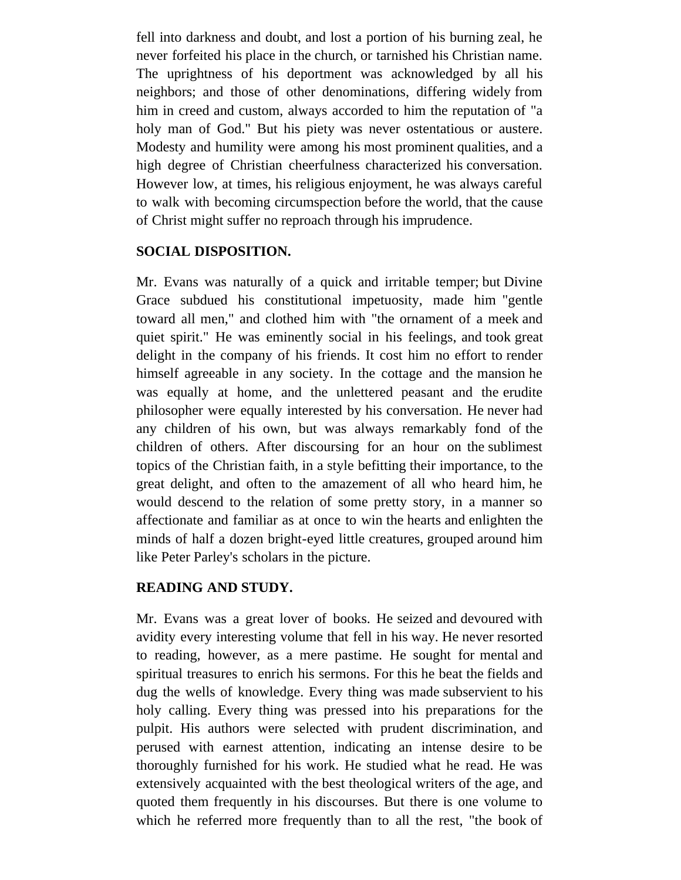fell into darkness and doubt, and lost a portion of his burning zeal, he never forfeited his place in the church, or tarnished his Christian name. The uprightness of his deportment was acknowledged by all his neighbors; and those of other denominations, differing widely from him in creed and custom, always accorded to him the reputation of "a holy man of God." But his piety was never ostentatious or austere. Modesty and humility were among his most prominent qualities, and a high degree of Christian cheerfulness characterized his conversation. However low, at times, his religious enjoyment, he was always careful to walk with becoming circumspection before the world, that the cause of Christ might suffer no reproach through his imprudence.

### **SOCIAL DISPOSITION.**

Mr. Evans was naturally of a quick and irritable temper; but Divine Grace subdued his constitutional impetuosity, made him "gentle toward all men," and clothed him with "the ornament of a meek and quiet spirit." He was eminently social in his feelings, and took great delight in the company of his friends. It cost him no effort to render himself agreeable in any society. In the cottage and the mansion he was equally at home, and the unlettered peasant and the erudite philosopher were equally interested by his conversation. He never had any children of his own, but was always remarkably fond of the children of others. After discoursing for an hour on the sublimest topics of the Christian faith, in a style befitting their importance, to the great delight, and often to the amazement of all who heard him, he would descend to the relation of some pretty story, in a manner so affectionate and familiar as at once to win the hearts and enlighten the minds of half a dozen bright-eyed little creatures, grouped around him like Peter Parley's scholars in the picture.

# **READING AND STUDY.**

Mr. Evans was a great lover of books. He seized and devoured with avidity every interesting volume that fell in his way. He never resorted to reading, however, as a mere pastime. He sought for mental and spiritual treasures to enrich his sermons. For this he beat the fields and dug the wells of knowledge. Every thing was made subservient to his holy calling. Every thing was pressed into his preparations for the pulpit. His authors were selected with prudent discrimination, and perused with earnest attention, indicating an intense desire to be thoroughly furnished for his work. He studied what he read. He was extensively acquainted with the best theological writers of the age, and quoted them frequently in his discourses. But there is one volume to which he referred more frequently than to all the rest, "the book of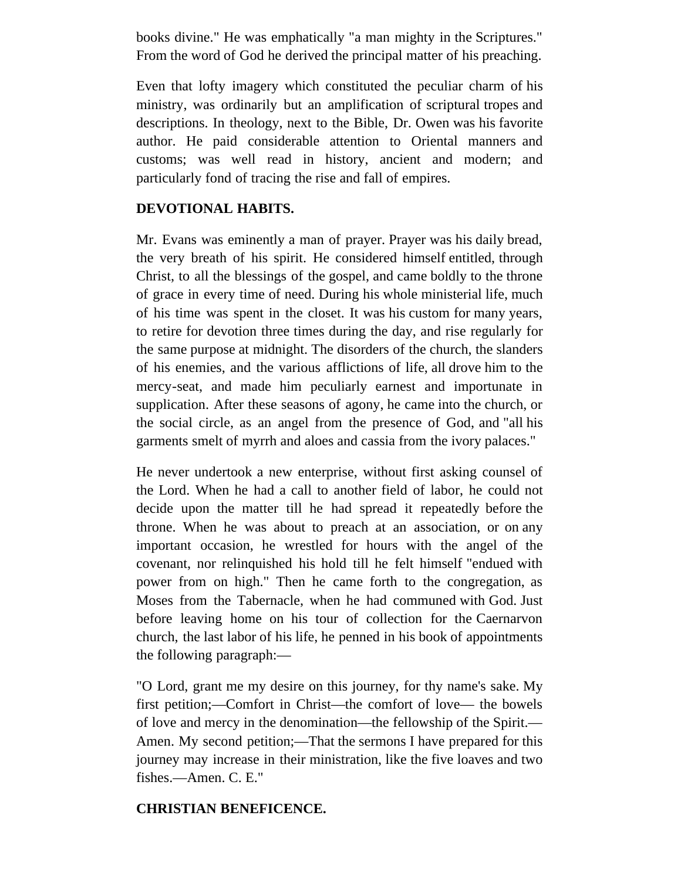books divine." He was emphatically "a man mighty in the Scriptures." From the word of God he derived the principal matter of his preaching.

Even that lofty imagery which constituted the peculiar charm of his ministry, was ordinarily but an amplification of scriptural tropes and descriptions. In theology, next to the Bible, Dr. Owen was his favorite author. He paid considerable attention to Oriental manners and customs; was well read in history, ancient and modern; and particularly fond of tracing the rise and fall of empires.

### **DEVOTIONAL HABITS.**

Mr. Evans was eminently a man of prayer. Prayer was his daily bread, the very breath of his spirit. He considered himself entitled, through Christ, to all the blessings of the gospel, and came boldly to the throne of grace in every time of need. During his whole ministerial life, much of his time was spent in the closet. It was his custom for many years, to retire for devotion three times during the day, and rise regularly for the same purpose at midnight. The disorders of the church, the slanders of his enemies, and the various afflictions of life, all drove him to the mercy-seat, and made him peculiarly earnest and importunate in supplication. After these seasons of agony, he came into the church, or the social circle, as an angel from the presence of God, and "all his garments smelt of myrrh and aloes and cassia from the ivory palaces."

He never undertook a new enterprise, without first asking counsel of the Lord. When he had a call to another field of labor, he could not decide upon the matter till he had spread it repeatedly before the throne. When he was about to preach at an association, or on any important occasion, he wrestled for hours with the angel of the covenant, nor relinquished his hold till he felt himself "endued with power from on high." Then he came forth to the congregation, as Moses from the Tabernacle, when he had communed with God. Just before leaving home on his tour of collection for the Caernarvon church, the last labor of his life, he penned in his book of appointments the following paragraph:—

"O Lord, grant me my desire on this journey, for thy name's sake. My first petition;—Comfort in Christ—the comfort of love— the bowels of love and mercy in the denomination—the fellowship of the Spirit.— Amen. My second petition;—That the sermons I have prepared for this journey may increase in their ministration, like the five loaves and two fishes.—Amen. C. E."

### **CHRISTIAN BENEFICENCE.**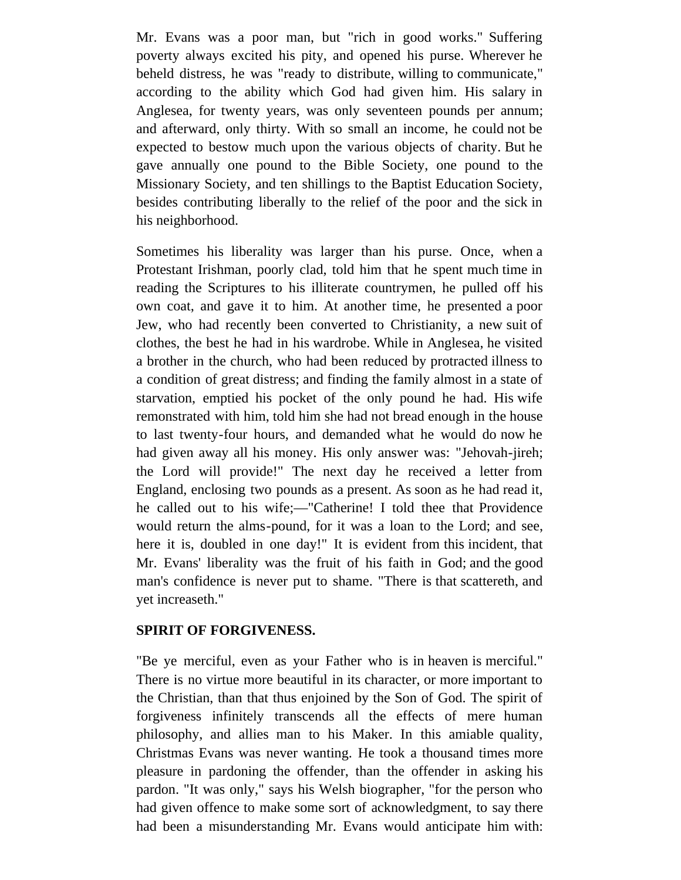Mr. Evans was a poor man, but "rich in good works." Suffering poverty always excited his pity, and opened his purse. Wherever he beheld distress, he was "ready to distribute, willing to communicate," according to the ability which God had given him. His salary in Anglesea, for twenty years, was only seventeen pounds per annum; and afterward, only thirty. With so small an income, he could not be expected to bestow much upon the various objects of charity. But he gave annually one pound to the Bible Society, one pound to the Missionary Society, and ten shillings to the Baptist Education Society, besides contributing liberally to the relief of the poor and the sick in his neighborhood.

Sometimes his liberality was larger than his purse. Once, when a Protestant Irishman, poorly clad, told him that he spent much time in reading the Scriptures to his illiterate countrymen, he pulled off his own coat, and gave it to him. At another time, he presented a poor Jew, who had recently been converted to Christianity, a new suit of clothes, the best he had in his wardrobe. While in Anglesea, he visited a brother in the church, who had been reduced by protracted illness to a condition of great distress; and finding the family almost in a state of starvation, emptied his pocket of the only pound he had. His wife remonstrated with him, told him she had not bread enough in the house to last twenty-four hours, and demanded what he would do now he had given away all his money. His only answer was: "Jehovah-jireh; the Lord will provide!" The next day he received a letter from England, enclosing two pounds as a present. As soon as he had read it, he called out to his wife;—"Catherine! I told thee that Providence would return the alms-pound, for it was a loan to the Lord; and see, here it is, doubled in one day!" It is evident from this incident, that Mr. Evans' liberality was the fruit of his faith in God; and the good man's confidence is never put to shame. "There is that scattereth, and yet increaseth."

### **SPIRIT OF FORGIVENESS.**

"Be ye merciful, even as your Father who is in heaven is merciful." There is no virtue more beautiful in its character, or more important to the Christian, than that thus enjoined by the Son of God. The spirit of forgiveness infinitely transcends all the effects of mere human philosophy, and allies man to his Maker. In this amiable quality, Christmas Evans was never wanting. He took a thousand times more pleasure in pardoning the offender, than the offender in asking his pardon. "It was only," says his Welsh biographer, "for the person who had given offence to make some sort of acknowledgment, to say there had been a misunderstanding Mr. Evans would anticipate him with: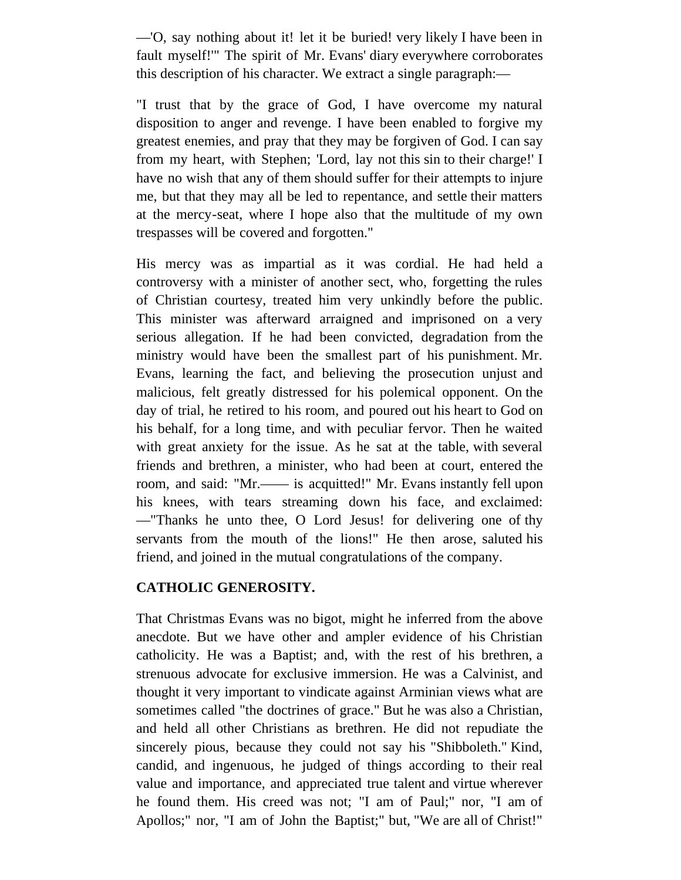—'O, say nothing about it! let it be buried! very likely I have been in fault myself!'" The spirit of Mr. Evans' diary everywhere corroborates this description of his character. We extract a single paragraph:—

"I trust that by the grace of God, I have overcome my natural disposition to anger and revenge. I have been enabled to forgive my greatest enemies, and pray that they may be forgiven of God. I can say from my heart, with Stephen; 'Lord, lay not this sin to their charge!' I have no wish that any of them should suffer for their attempts to injure me, but that they may all be led to repentance, and settle their matters at the mercy-seat, where I hope also that the multitude of my own trespasses will be covered and forgotten."

His mercy was as impartial as it was cordial. He had held a controversy with a minister of another sect, who, forgetting the rules of Christian courtesy, treated him very unkindly before the public. This minister was afterward arraigned and imprisoned on a very serious allegation. If he had been convicted, degradation from the ministry would have been the smallest part of his punishment. Mr. Evans, learning the fact, and believing the prosecution unjust and malicious, felt greatly distressed for his polemical opponent. On the day of trial, he retired to his room, and poured out his heart to God on his behalf, for a long time, and with peculiar fervor. Then he waited with great anxiety for the issue. As he sat at the table, with several friends and brethren, a minister, who had been at court, entered the room, and said: "Mr.—— is acquitted!" Mr. Evans instantly fell upon his knees, with tears streaming down his face, and exclaimed: —"Thanks he unto thee, O Lord Jesus! for delivering one of thy servants from the mouth of the lions!" He then arose, saluted his friend, and joined in the mutual congratulations of the company.

# **CATHOLIC GENEROSITY.**

That Christmas Evans was no bigot, might he inferred from the above anecdote. But we have other and ampler evidence of his Christian catholicity. He was a Baptist; and, with the rest of his brethren, a strenuous advocate for exclusive immersion. He was a Calvinist, and thought it very important to vindicate against Arminian views what are sometimes called "the doctrines of grace." But he was also a Christian, and held all other Christians as brethren. He did not repudiate the sincerely pious, because they could not say his "Shibboleth." Kind, candid, and ingenuous, he judged of things according to their real value and importance, and appreciated true talent and virtue wherever he found them. His creed was not; "I am of Paul;" nor, "I am of Apollos;" nor, "I am of John the Baptist;" but, "We are all of Christ!"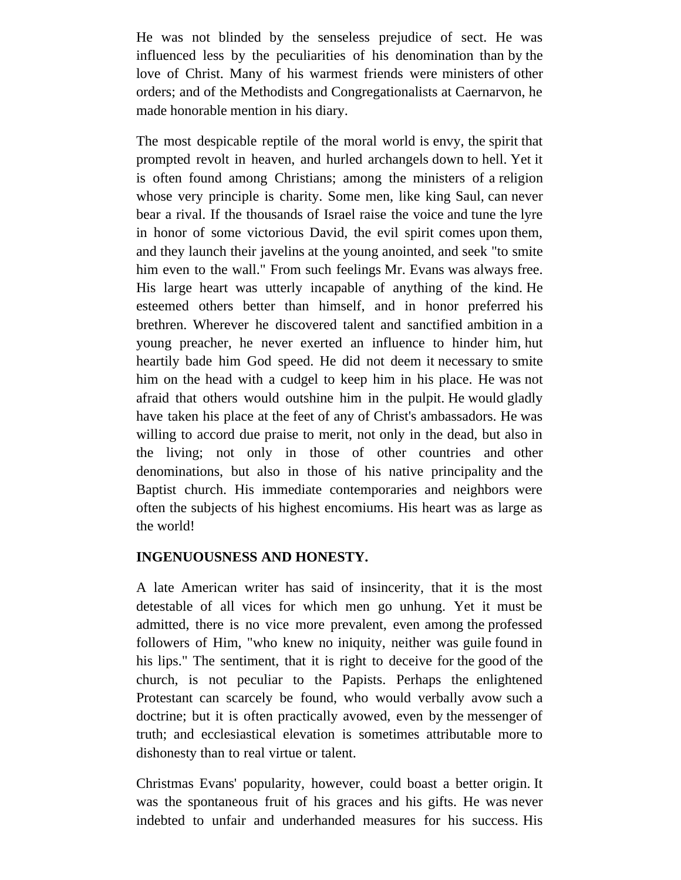He was not blinded by the senseless prejudice of sect. He was influenced less by the peculiarities of his denomination than by the love of Christ. Many of his warmest friends were ministers of other orders; and of the Methodists and Congregationalists at Caernarvon, he made honorable mention in his diary.

The most despicable reptile of the moral world is envy, the spirit that prompted revolt in heaven, and hurled archangels down to hell. Yet it is often found among Christians; among the ministers of a religion whose very principle is charity. Some men, like king Saul, can never bear a rival. If the thousands of Israel raise the voice and tune the lyre in honor of some victorious David, the evil spirit comes upon them, and they launch their javelins at the young anointed, and seek "to smite him even to the wall." From such feelings Mr. Evans was always free. His large heart was utterly incapable of anything of the kind. He esteemed others better than himself, and in honor preferred his brethren. Wherever he discovered talent and sanctified ambition in a young preacher, he never exerted an influence to hinder him, hut heartily bade him God speed. He did not deem it necessary to smite him on the head with a cudgel to keep him in his place. He was not afraid that others would outshine him in the pulpit. He would gladly have taken his place at the feet of any of Christ's ambassadors. He was willing to accord due praise to merit, not only in the dead, but also in the living; not only in those of other countries and other denominations, but also in those of his native principality and the Baptist church. His immediate contemporaries and neighbors were often the subjects of his highest encomiums. His heart was as large as the world!

# **INGENUOUSNESS AND HONESTY.**

A late American writer has said of insincerity, that it is the most detestable of all vices for which men go unhung. Yet it must be admitted, there is no vice more prevalent, even among the professed followers of Him, "who knew no iniquity, neither was guile found in his lips." The sentiment, that it is right to deceive for the good of the church, is not peculiar to the Papists. Perhaps the enlightened Protestant can scarcely be found, who would verbally avow such a doctrine; but it is often practically avowed, even by the messenger of truth; and ecclesiastical elevation is sometimes attributable more to dishonesty than to real virtue or talent.

Christmas Evans' popularity, however, could boast a better origin. It was the spontaneous fruit of his graces and his gifts. He was never indebted to unfair and underhanded measures for his success. His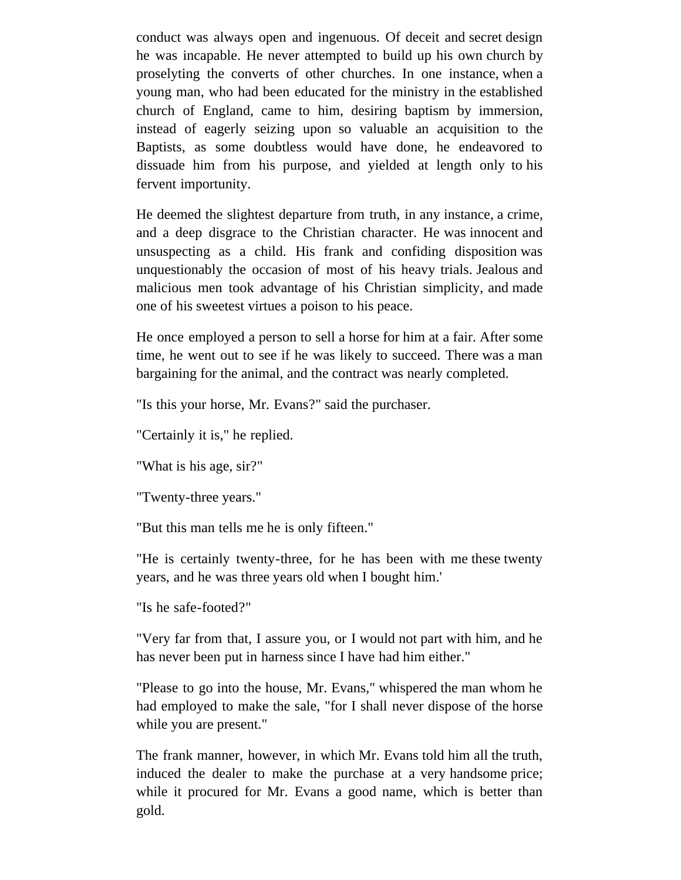conduct was always open and ingenuous. Of deceit and secret design he was incapable. He never attempted to build up his own church by proselyting the converts of other churches. In one instance, when a young man, who had been educated for the ministry in the established church of England, came to him, desiring baptism by immersion, instead of eagerly seizing upon so valuable an acquisition to the Baptists, as some doubtless would have done, he endeavored to dissuade him from his purpose, and yielded at length only to his fervent importunity.

He deemed the slightest departure from truth, in any instance, a crime, and a deep disgrace to the Christian character. He was innocent and unsuspecting as a child. His frank and confiding disposition was unquestionably the occasion of most of his heavy trials. Jealous and malicious men took advantage of his Christian simplicity, and made one of his sweetest virtues a poison to his peace.

He once employed a person to sell a horse for him at a fair. After some time, he went out to see if he was likely to succeed. There was a man bargaining for the animal, and the contract was nearly completed.

"Is this your horse, Mr. Evans?" said the purchaser.

"Certainly it is," he replied.

"What is his age, sir?"

"Twenty-three years."

"But this man tells me he is only fifteen."

"He is certainly twenty-three, for he has been with me these twenty years, and he was three years old when I bought him.'

"Is he safe-footed?"

"Very far from that, I assure you, or I would not part with him, and he has never been put in harness since I have had him either."

"Please to go into the house, Mr. Evans," whispered the man whom he had employed to make the sale, "for I shall never dispose of the horse while you are present."

The frank manner, however, in which Mr. Evans told him all the truth, induced the dealer to make the purchase at a very handsome price; while it procured for Mr. Evans a good name, which is better than gold.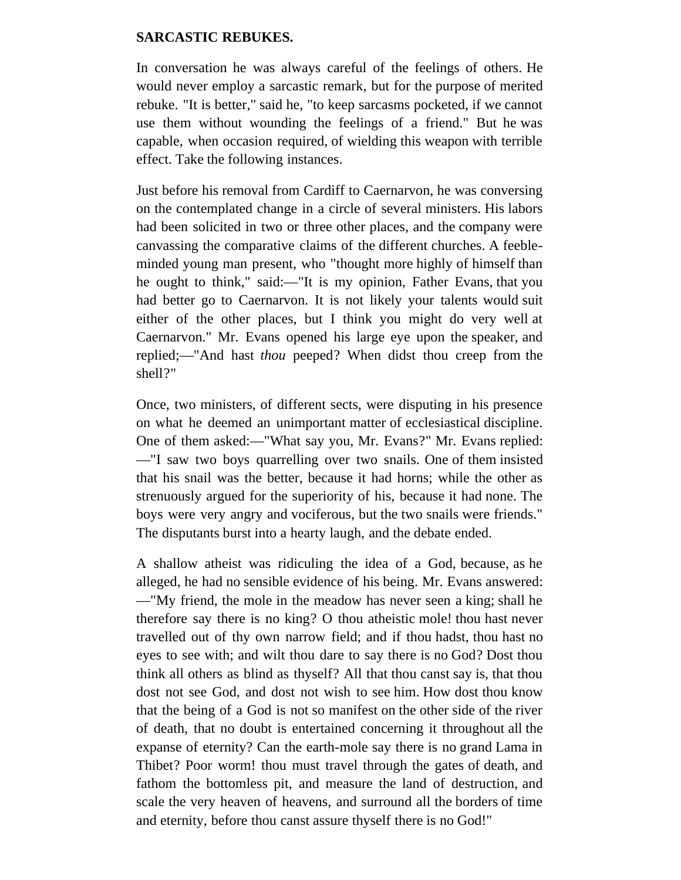#### **SARCASTIC REBUKES.**

In conversation he was always careful of the feelings of others. He would never employ a sarcastic remark, but for the purpose of merited rebuke. "It is better," said he, "to keep sarcasms pocketed, if we cannot use them without wounding the feelings of a friend." But he was capable, when occasion required, of wielding this weapon with terrible effect. Take the following instances.

Just before his removal from Cardiff to Caernarvon, he was conversing on the contemplated change in a circle of several ministers. His labors had been solicited in two or three other places, and the company were canvassing the comparative claims of the different churches. A feebleminded young man present, who "thought more highly of himself than he ought to think," said:—"It is my opinion, Father Evans, that you had better go to Caernarvon. It is not likely your talents would suit either of the other places, but I think you might do very well at Caernarvon." Mr. Evans opened his large eye upon the speaker, and replied;—"And hast *thou* peeped? When didst thou creep from the shell?"

Once, two ministers, of different sects, were disputing in his presence on what he deemed an unimportant matter of ecclesiastical discipline. One of them asked:—"What say you, Mr. Evans?" Mr. Evans replied: —"I saw two boys quarrelling over two snails. One of them insisted that his snail was the better, because it had horns; while the other as strenuously argued for the superiority of his, because it had none. The boys were very angry and vociferous, but the two snails were friends." The disputants burst into a hearty laugh, and the debate ended.

A shallow atheist was ridiculing the idea of a God, because, as he alleged, he had no sensible evidence of his being. Mr. Evans answered: —"My friend, the mole in the meadow has never seen a king; shall he therefore say there is no king? O thou atheistic mole! thou hast never travelled out of thy own narrow field; and if thou hadst, thou hast no eyes to see with; and wilt thou dare to say there is no God? Dost thou think all others as blind as thyself? All that thou canst say is, that thou dost not see God, and dost not wish to see him. How dost thou know that the being of a God is not so manifest on the other side of the river of death, that no doubt is entertained concerning it throughout all the expanse of eternity? Can the earth-mole say there is no grand Lama in Thibet? Poor worm! thou must travel through the gates of death, and fathom the bottomless pit, and measure the land of destruction, and scale the very heaven of heavens, and surround all the borders of time and eternity, before thou canst assure thyself there is no God!"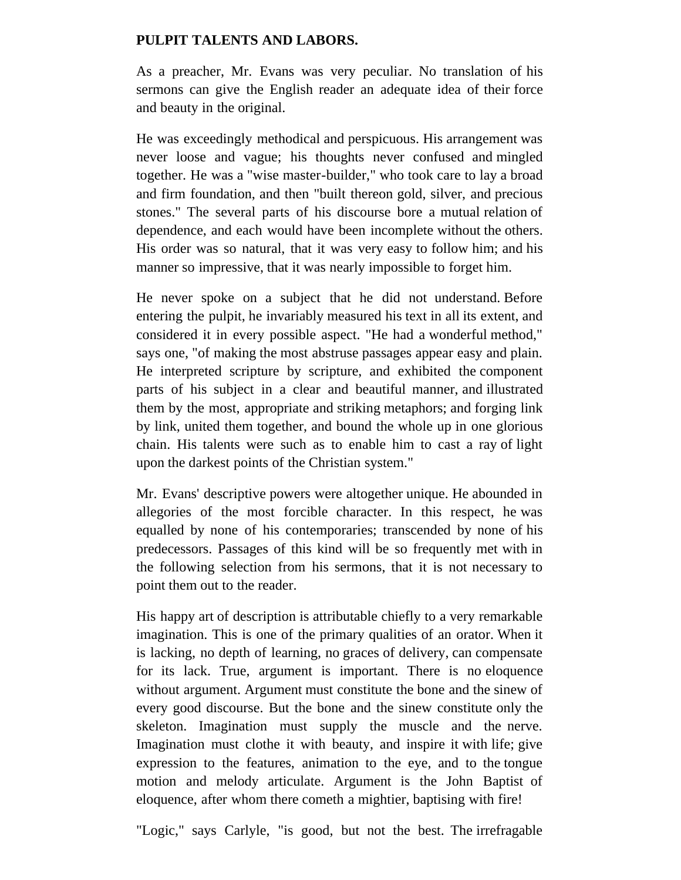### **PULPIT TALENTS AND LABORS.**

As a preacher, Mr. Evans was very peculiar. No translation of his sermons can give the English reader an adequate idea of their force and beauty in the original.

He was exceedingly methodical and perspicuous. His arrangement was never loose and vague; his thoughts never confused and mingled together. He was a "wise master-builder," who took care to lay a broad and firm foundation, and then "built thereon gold, silver, and precious stones." The several parts of his discourse bore a mutual relation of dependence, and each would have been incomplete without the others. His order was so natural, that it was very easy to follow him; and his manner so impressive, that it was nearly impossible to forget him.

He never spoke on a subject that he did not understand. Before entering the pulpit, he invariably measured his text in all its extent, and considered it in every possible aspect. "He had a wonderful method," says one, "of making the most abstruse passages appear easy and plain. He interpreted scripture by scripture, and exhibited the component parts of his subject in a clear and beautiful manner, and illustrated them by the most, appropriate and striking metaphors; and forging link by link, united them together, and bound the whole up in one glorious chain. His talents were such as to enable him to cast a ray of light upon the darkest points of the Christian system."

Mr. Evans' descriptive powers were altogether unique. He abounded in allegories of the most forcible character. In this respect, he was equalled by none of his contemporaries; transcended by none of his predecessors. Passages of this kind will be so frequently met with in the following selection from his sermons, that it is not necessary to point them out to the reader.

His happy art of description is attributable chiefly to a very remarkable imagination. This is one of the primary qualities of an orator. When it is lacking, no depth of learning, no graces of delivery, can compensate for its lack. True, argument is important. There is no eloquence without argument. Argument must constitute the bone and the sinew of every good discourse. But the bone and the sinew constitute only the skeleton. Imagination must supply the muscle and the nerve. Imagination must clothe it with beauty, and inspire it with life; give expression to the features, animation to the eye, and to the tongue motion and melody articulate. Argument is the John Baptist of eloquence, after whom there cometh a mightier, baptising with fire!

"Logic," says Carlyle, "is good, but not the best. The irrefragable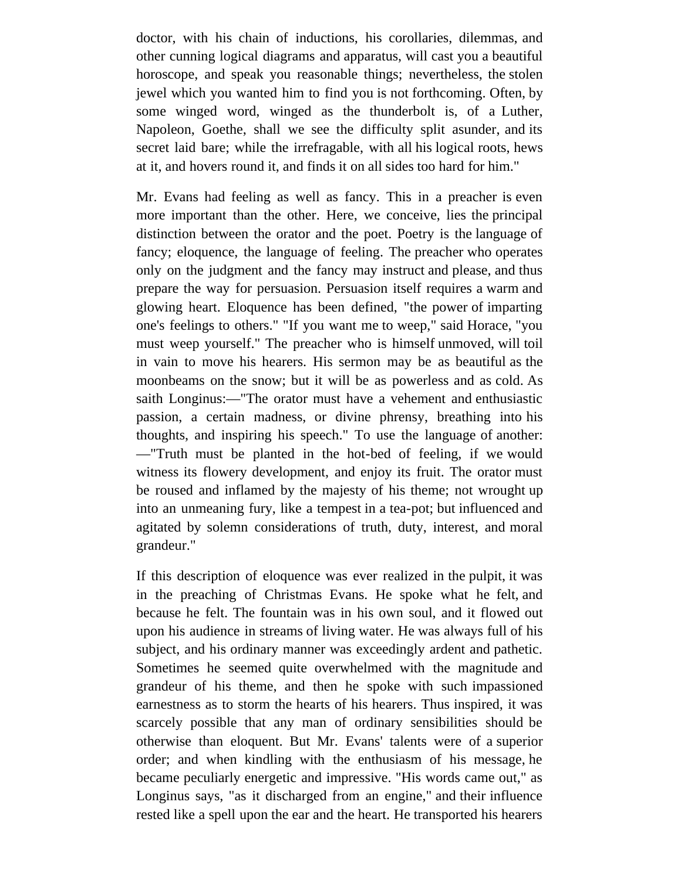doctor, with his chain of inductions, his corollaries, dilemmas, and other cunning logical diagrams and apparatus, will cast you a beautiful horoscope, and speak you reasonable things; nevertheless, the stolen jewel which you wanted him to find you is not forthcoming. Often, by some winged word, winged as the thunderbolt is, of a Luther, Napoleon, Goethe, shall we see the difficulty split asunder, and its secret laid bare; while the irrefragable, with all his logical roots, hews at it, and hovers round it, and finds it on all sides too hard for him."

Mr. Evans had feeling as well as fancy. This in a preacher is even more important than the other. Here, we conceive, lies the principal distinction between the orator and the poet. Poetry is the language of fancy; eloquence, the language of feeling. The preacher who operates only on the judgment and the fancy may instruct and please, and thus prepare the way for persuasion. Persuasion itself requires a warm and glowing heart. Eloquence has been defined, "the power of imparting one's feelings to others." "If you want me to weep," said Horace, "you must weep yourself." The preacher who is himself unmoved, will toil in vain to move his hearers. His sermon may be as beautiful as the moonbeams on the snow; but it will be as powerless and as cold. As saith Longinus:—"The orator must have a vehement and enthusiastic passion, a certain madness, or divine phrensy, breathing into his thoughts, and inspiring his speech." To use the language of another: —"Truth must be planted in the hot-bed of feeling, if we would witness its flowery development, and enjoy its fruit. The orator must be roused and inflamed by the majesty of his theme; not wrought up into an unmeaning fury, like a tempest in a tea-pot; but influenced and agitated by solemn considerations of truth, duty, interest, and moral grandeur."

If this description of eloquence was ever realized in the pulpit, it was in the preaching of Christmas Evans. He spoke what he felt, and because he felt. The fountain was in his own soul, and it flowed out upon his audience in streams of living water. He was always full of his subject, and his ordinary manner was exceedingly ardent and pathetic. Sometimes he seemed quite overwhelmed with the magnitude and grandeur of his theme, and then he spoke with such impassioned earnestness as to storm the hearts of his hearers. Thus inspired, it was scarcely possible that any man of ordinary sensibilities should be otherwise than eloquent. But Mr. Evans' talents were of a superior order; and when kindling with the enthusiasm of his message, he became peculiarly energetic and impressive. "His words came out," as Longinus says, "as it discharged from an engine," and their influence rested like a spell upon the ear and the heart. He transported his hearers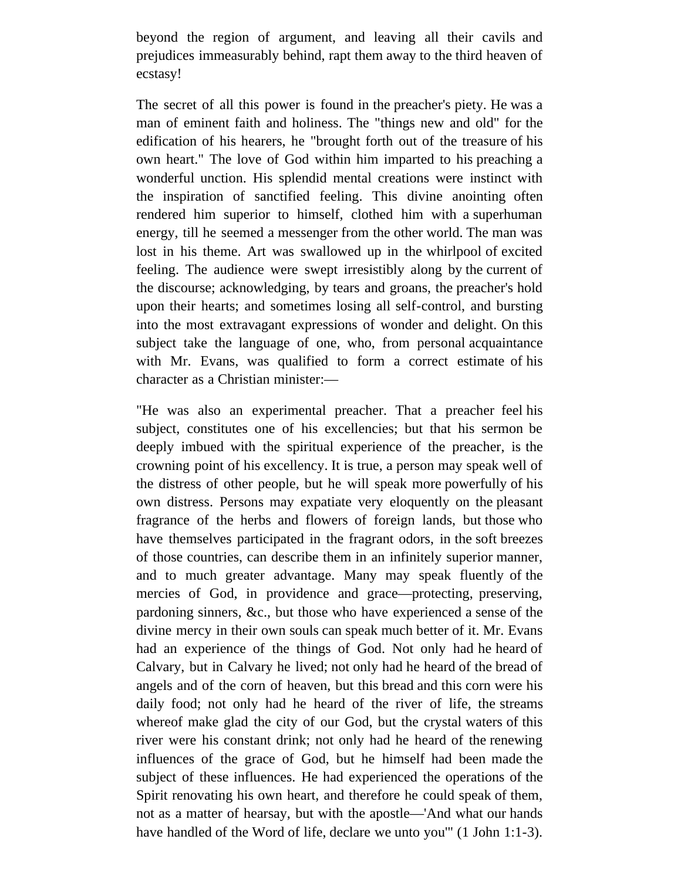beyond the region of argument, and leaving all their cavils and prejudices immeasurably behind, rapt them away to the third heaven of ecstasy!

The secret of all this power is found in the preacher's piety. He was a man of eminent faith and holiness. The "things new and old" for the edification of his hearers, he "brought forth out of the treasure of his own heart." The love of God within him imparted to his preaching a wonderful unction. His splendid mental creations were instinct with the inspiration of sanctified feeling. This divine anointing often rendered him superior to himself, clothed him with a superhuman energy, till he seemed a messenger from the other world. The man was lost in his theme. Art was swallowed up in the whirlpool of excited feeling. The audience were swept irresistibly along by the current of the discourse; acknowledging, by tears and groans, the preacher's hold upon their hearts; and sometimes losing all self-control, and bursting into the most extravagant expressions of wonder and delight. On this subject take the language of one, who, from personal acquaintance with Mr. Evans, was qualified to form a correct estimate of his character as a Christian minister:—

"He was also an experimental preacher. That a preacher feel his subject, constitutes one of his excellencies; but that his sermon be deeply imbued with the spiritual experience of the preacher, is the crowning point of his excellency. It is true, a person may speak well of the distress of other people, but he will speak more powerfully of his own distress. Persons may expatiate very eloquently on the pleasant fragrance of the herbs and flowers of foreign lands, but those who have themselves participated in the fragrant odors, in the soft breezes of those countries, can describe them in an infinitely superior manner, and to much greater advantage. Many may speak fluently of the mercies of God, in providence and grace—protecting, preserving, pardoning sinners, &c., but those who have experienced a sense of the divine mercy in their own souls can speak much better of it. Mr. Evans had an experience of the things of God. Not only had he heard of Calvary, but in Calvary he lived; not only had he heard of the bread of angels and of the corn of heaven, but this bread and this corn were his daily food; not only had he heard of the river of life, the streams whereof make glad the city of our God, but the crystal waters of this river were his constant drink; not only had he heard of the renewing influences of the grace of God, but he himself had been made the subject of these influences. He had experienced the operations of the Spirit renovating his own heart, and therefore he could speak of them, not as a matter of hearsay, but with the apostle—'And what our hands have handled of the Word of life, declare we unto you'" (1 John 1:1-3).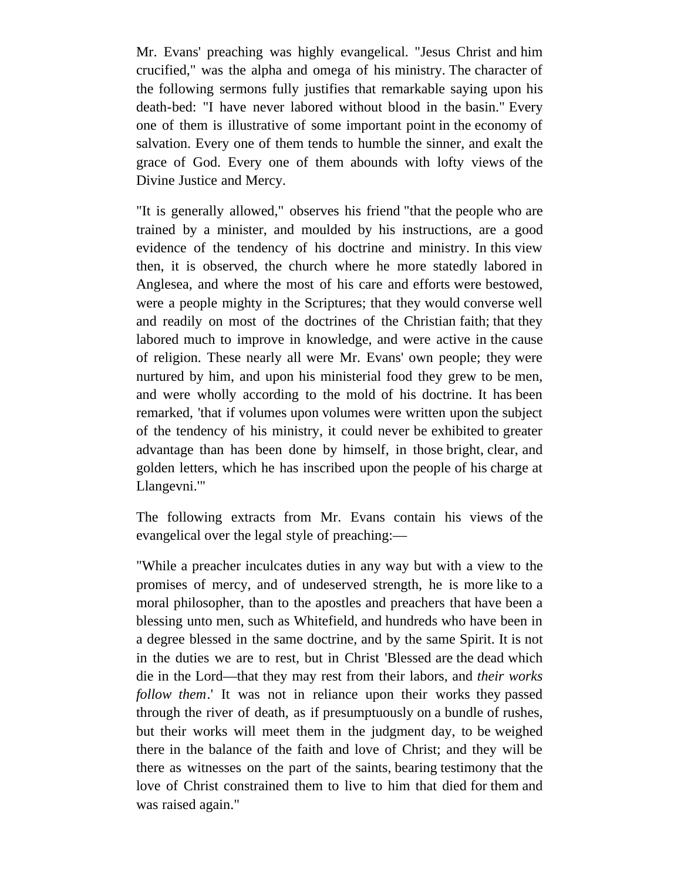Mr. Evans' preaching was highly evangelical. "Jesus Christ and him crucified," was the alpha and omega of his ministry. The character of the following sermons fully justifies that remarkable saying upon his death-bed: "I have never labored without blood in the basin." Every one of them is illustrative of some important point in the economy of salvation. Every one of them tends to humble the sinner, and exalt the grace of God. Every one of them abounds with lofty views of the Divine Justice and Mercy.

"It is generally allowed," observes his friend "that the people who are trained by a minister, and moulded by his instructions, are a good evidence of the tendency of his doctrine and ministry. In this view then, it is observed, the church where he more statedly labored in Anglesea, and where the most of his care and efforts were bestowed, were a people mighty in the Scriptures; that they would converse well and readily on most of the doctrines of the Christian faith; that they labored much to improve in knowledge, and were active in the cause of religion. These nearly all were Mr. Evans' own people; they were nurtured by him, and upon his ministerial food they grew to be men, and were wholly according to the mold of his doctrine. It has been remarked, 'that if volumes upon volumes were written upon the subject of the tendency of his ministry, it could never be exhibited to greater advantage than has been done by himself, in those bright, clear, and golden letters, which he has inscribed upon the people of his charge at Llangevni.'"

The following extracts from Mr. Evans contain his views of the evangelical over the legal style of preaching:—

"While a preacher inculcates duties in any way but with a view to the promises of mercy, and of undeserved strength, he is more like to a moral philosopher, than to the apostles and preachers that have been a blessing unto men, such as Whitefield, and hundreds who have been in a degree blessed in the same doctrine, and by the same Spirit. It is not in the duties we are to rest, but in Christ 'Blessed are the dead which die in the Lord—that they may rest from their labors, and *their works follow them*.' It was not in reliance upon their works they passed through the river of death, as if presumptuously on a bundle of rushes, but their works will meet them in the judgment day, to be weighed there in the balance of the faith and love of Christ; and they will be there as witnesses on the part of the saints, bearing testimony that the love of Christ constrained them to live to him that died for them and was raised again."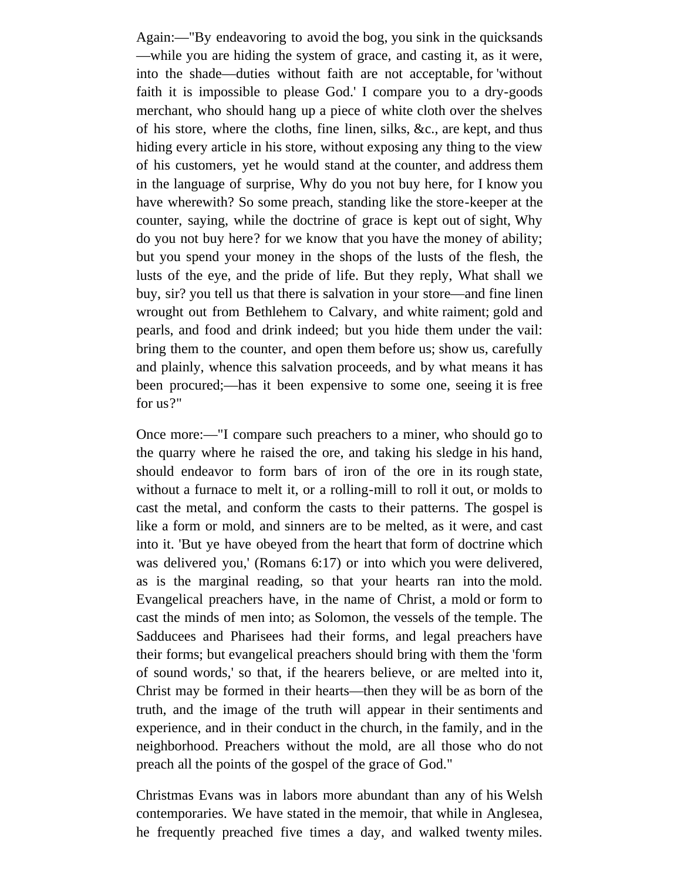Again:—"By endeavoring to avoid the bog, you sink in the quicksands —while you are hiding the system of grace, and casting it, as it were, into the shade—duties without faith are not acceptable, for 'without faith it is impossible to please God.' I compare you to a dry-goods merchant, who should hang up a piece of white cloth over the shelves of his store, where the cloths, fine linen, silks, &c., are kept, and thus hiding every article in his store, without exposing any thing to the view of his customers, yet he would stand at the counter, and address them in the language of surprise, Why do you not buy here, for I know you have wherewith? So some preach, standing like the store-keeper at the counter, saying, while the doctrine of grace is kept out of sight, Why do you not buy here? for we know that you have the money of ability; but you spend your money in the shops of the lusts of the flesh, the lusts of the eye, and the pride of life. But they reply, What shall we buy, sir? you tell us that there is salvation in your store—and fine linen wrought out from Bethlehem to Calvary, and white raiment; gold and pearls, and food and drink indeed; but you hide them under the vail: bring them to the counter, and open them before us; show us, carefully and plainly, whence this salvation proceeds, and by what means it has been procured;—has it been expensive to some one, seeing it is free for us?"

Once more:—"I compare such preachers to a miner, who should go to the quarry where he raised the ore, and taking his sledge in his hand, should endeavor to form bars of iron of the ore in its rough state, without a furnace to melt it, or a rolling-mill to roll it out, or molds to cast the metal, and conform the casts to their patterns. The gospel is like a form or mold, and sinners are to be melted, as it were, and cast into it. 'But ye have obeyed from the heart that form of doctrine which was delivered you,' (Romans 6:17) or into which you were delivered, as is the marginal reading, so that your hearts ran into the mold. Evangelical preachers have, in the name of Christ, a mold or form to cast the minds of men into; as Solomon, the vessels of the temple. The Sadducees and Pharisees had their forms, and legal preachers have their forms; but evangelical preachers should bring with them the 'form of sound words,' so that, if the hearers believe, or are melted into it, Christ may be formed in their hearts—then they will be as born of the truth, and the image of the truth will appear in their sentiments and experience, and in their conduct in the church, in the family, and in the neighborhood. Preachers without the mold, are all those who do not preach all the points of the gospel of the grace of God."

Christmas Evans was in labors more abundant than any of his Welsh contemporaries. We have stated in the memoir, that while in Anglesea, he frequently preached five times a day, and walked twenty miles.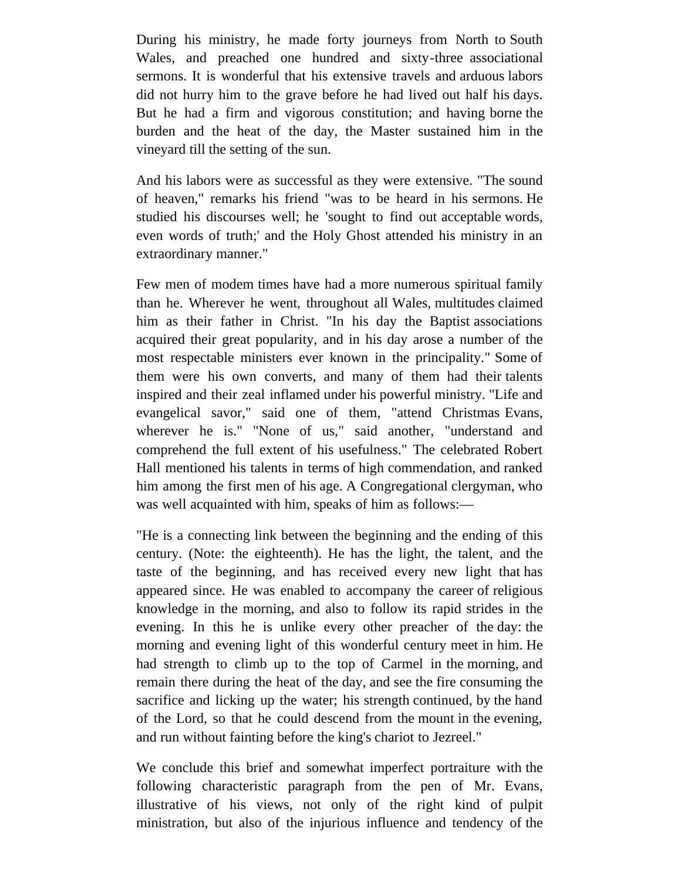During his ministry, he made forty journeys from North to South Wales, and preached one hundred and sixty-three associational sermons. It is wonderful that his extensive travels and arduous labors did not hurry him to the grave before he had lived out half his days. But he had a firm and vigorous constitution; and having borne the burden and the heat of the day, the Master sustained him in the vineyard till the setting of the sun.

And his labors were as successful as they were extensive. "The sound of heaven," remarks his friend "was to be heard in his sermons. He studied his discourses well; he 'sought to find out acceptable words, even words of truth;' and the Holy Ghost attended his ministry in an extraordinary manner."

Few men of modem times have had a more numerous spiritual family than he. Wherever he went, throughout all Wales, multitudes claimed him as their father in Christ. "In his day the Baptist associations acquired their great popularity, and in his day arose a number of the most respectable ministers ever known in the principality." Some of them were his own converts, and many of them had their talents inspired and their zeal inflamed under his powerful ministry. "Life and evangelical savor," said one of them, "attend Christmas Evans, wherever he is." "None of us," said another, "understand and comprehend the full extent of his usefulness." The celebrated Robert Hall mentioned his talents in terms of high commendation, and ranked him among the first men of his age. A Congregational clergyman, who was well acquainted with him, speaks of him as follows:—

"He is a connecting link between the beginning and the ending of this century. (Note: the eighteenth). He has the light, the talent, and the taste of the beginning, and has received every new light that has appeared since. He was enabled to accompany the career of religious knowledge in the morning, and also to follow its rapid strides in the evening. In this he is unlike every other preacher of the day: the morning and evening light of this wonderful century meet in him. He had strength to climb up to the top of Carmel in the morning, and remain there during the heat of the day, and see the fire consuming the sacrifice and licking up the water; his strength continued, by the hand of the Lord, so that he could descend from the mount in the evening, and run without fainting before the king's chariot to Jezreel."

We conclude this brief and somewhat imperfect portraiture with the following characteristic paragraph from the pen of Mr. Evans, illustrative of his views, not only of the right kind of pulpit ministration, but also of the injurious influence and tendency of the